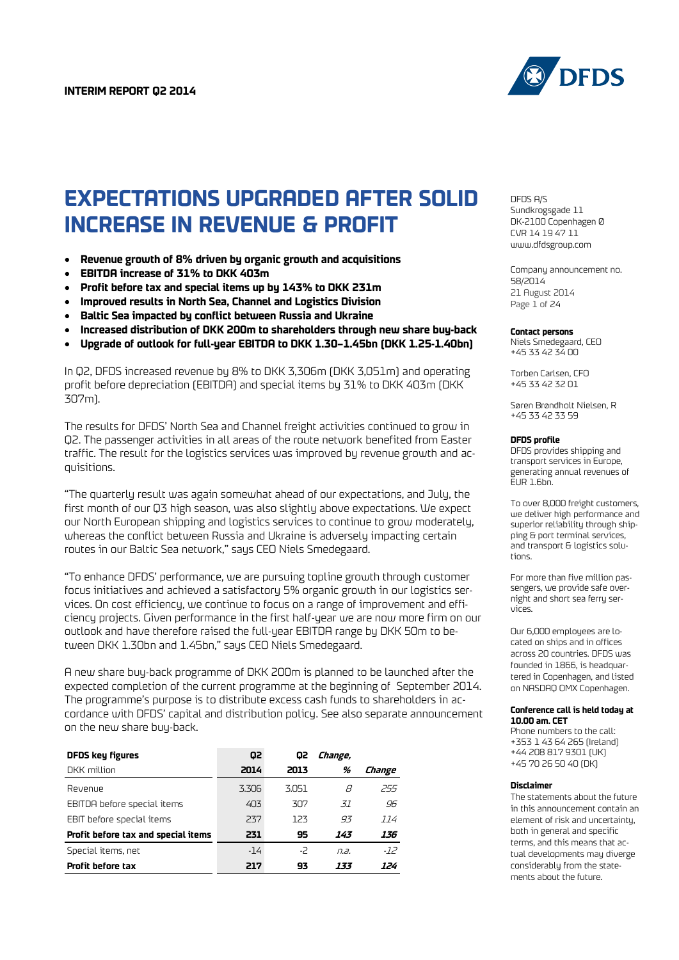

# **EXPECTATIONS UPGRADED AFTER SOLID INCREASE IN REVENUE & PROFIT**

- **Revenue growth of 8% driven by organic growth and acquisitions**
- **EBITDA increase of 31% to DKK 403m**
- **Profit before tax and special items up by 143% to DKK 231m**
- **Improved results in North Sea, Channel and Logistics Division**
- **Baltic Sea impacted by conflict between Russia and Ukraine**
- **Increased distribution of DKK 200m to shareholders through new share buy-back**
- **Upgrade of outlook for full-year EBITDA to DKK 1.30–1.45bn (DKK 1.25-1.40bn)**

In Q2, DFDS increased revenue by 8% to DKK 3,306m (DKK 3,051m) and operating profit before depreciation (EBITDA) and special items by 31% to DKK 403m (DKK 307m).

The results for DFDS' North Sea and Channel freight activities continued to grow in Q2. The passenger activities in all areas of the route network benefited from Easter traffic. The result for the logistics services was improved by revenue growth and acquisitions.

"The quarterly result was again somewhat ahead of our expectations, and July, the first month of our Q3 high season, was also slightly above expectations. We expect our North European shipping and logistics services to continue to grow moderately, whereas the conflict between Russia and Ukraine is adversely impacting certain routes in our Baltic Sea network," says CEO Niels Smedegaard.

"To enhance DFDS' performance, we are pursuing topline growth through customer focus initiatives and achieved a satisfactory 5% organic growth in our logistics services. On cost efficiency, we continue to focus on a range of improvement and efficiency projects. Given performance in the first half-year we are now more firm on our outlook and have therefore raised the full-year EBITDA range by DKK 50m to between DKK 1.30bn and 1.45bn," says CEO Niels Smedegaard.

A new share buy-back programme of DKK 200m is planned to be launched after the expected completion of the current programme at the beginning of September 2014. The programme's purpose is to distribute excess cash funds to shareholders in accordance with DFDS' capital and distribution policy. See also separate announcement on the new share buy-back.

| <b>DFDS key figures</b>             | 62    | Q2    | Change, |        |
|-------------------------------------|-------|-------|---------|--------|
| DKK million                         | 2014  | 2013  | %       | Change |
| Revenue                             | 3.306 | 3.051 | R       | 255    |
| EBITDA before special items         | 403   | 307   | 37      | 96     |
| EBIT before special items           | 237   | 123   | 93      | 114    |
| Profit before tax and special items | 231   | 95    | 143     | 136    |
| Special items, net                  | $-14$ | -2    | n.a.    | $-72$  |
| Profit before tax                   | 217   | 93    | 133     | 124    |

DFDS A/S Sundkrogsgade 11 DK-2100 Copenhagen Ø CVR 14 19 47 11 [www.dfdsgroup.com](http://www.dfdsgroup.com/)

Company announcement no. 58/2014 21 August 2014 Page 1 of 24

#### **Contact persons**

Niels Smedegaard, CEO +45 33 42 34 00

Torben Carlsen, CFO +45 33 42 32 01

Søren Brøndholt Nielsen, R +45 33 42 33 59

#### **DFDS profile**

DFDS provides shipping and transport services in Europe, generating annual revenues of EUR 1.6bn.

To over 8,000 freight customers, we deliver high performance and superior reliability through shipping & port terminal services, and transport & logistics solutions.

For more than five million passengers, we provide safe overnight and short sea ferry services.

Our 6,000 employees are located on ships and in offices across 20 countries. DFDS was founded in 1866, is headquartered in Copenhagen, and listed on NASDAQ OMX Copenhagen.

#### **Conference call is held today at 10.00 am. CET**

Phone numbers to the call: +353 1 43 64 265 (Ireland) +44 208 817 9301 (UK) +45 70 26 50 40 (DK)

#### **Disclaimer**

The statements about the future in this announcement contain an element of risk and uncertainty, both in general and specific terms, and this means that actual developments may diverge considerably from the statements about the future.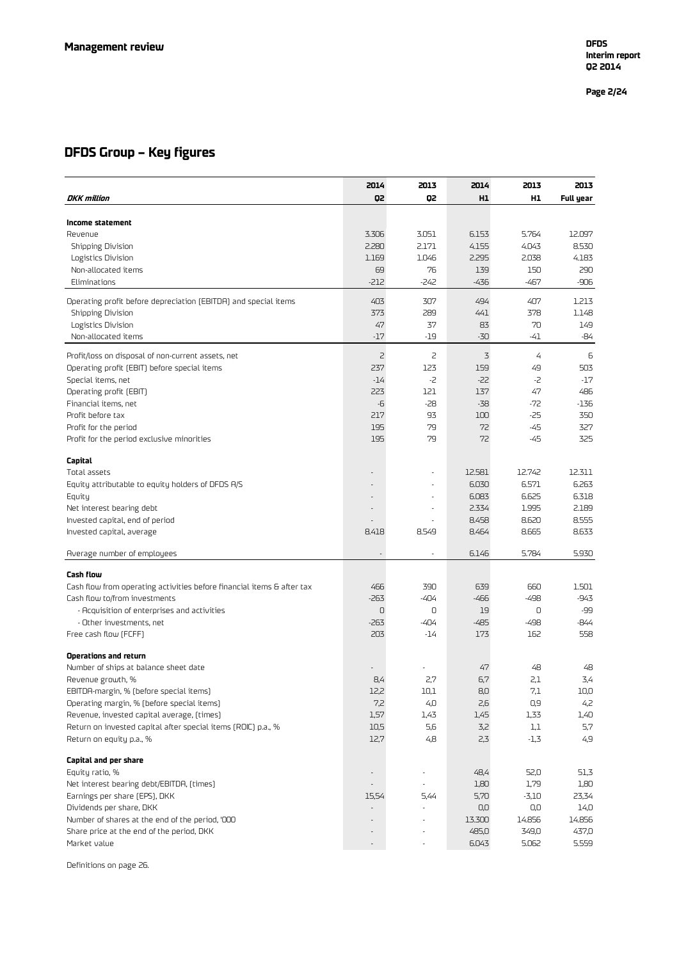## **DFDS Group – Key figures**

|                                                                        | 2014                         | 2013         | 2014            | 2013            | 2013           |
|------------------------------------------------------------------------|------------------------------|--------------|-----------------|-----------------|----------------|
| DKK million                                                            | Q2                           | Q2           | H1              | H <sub>1</sub>  | Full year      |
| Income statement                                                       |                              |              |                 |                 |                |
| Revenue                                                                | 3.306                        | 3.051        | 6.153           | 5.764           | 12.097         |
| Shipping Division                                                      | 2.280                        | 2.171        | 4.155           | 4.043           | 8.530          |
| Logistics Division                                                     | 1.169                        | 1.046        | 2.295           | 2.038           | 4.183          |
| Non-allocated items                                                    | 69                           | 76           | 139             | 150             | 290            |
| Eliminations                                                           | $-212$                       | $-242$       | $-436$          | -467            | -906           |
| Operating profit before depreciation (EBITDA) and special items        | 403                          | 307          | 494             | 407             | 1.213          |
| <b>Shipping Division</b>                                               | 373                          | 289          | 441             | 378             | 1.148          |
| Logistics Division                                                     | 47                           | 37           | 83              | 70              | 149            |
| Non-allocated items                                                    | $-17$                        | $-19$        | $-30$           | -41             | -84            |
| Profit/loss on disposal of non-current assets, net                     | $\mathsf{Z}$                 | <sub>2</sub> | 3               | 4               | 6              |
| Operating profit (EBIT) before special items                           | 237                          | 123          | 159             | 49              | 503            |
| Special items, net                                                     | -14                          | -2           | $-22$           | -2              | $-17$          |
| Operating profit (EBIT)                                                | 223<br>-6                    | 121<br>$-28$ | 137<br>$-38$    | 47<br>$-72$     | 486<br>$-136$  |
| Financial items, net<br>Profit before tax                              | 217                          | 93           | 100             | -25             | 350            |
| Profit for the period                                                  | 195                          | 79           | 72              | -45             | 327            |
| Profit for the period exclusive minorities                             | 195                          | 79           | 72              | -45             | 325            |
|                                                                        |                              |              |                 |                 |                |
| Capital                                                                |                              |              |                 |                 |                |
| Total assets                                                           |                              |              | 12.581          | 12.742          | 12.311         |
| Equity attributable to equity holders of DFDS A/S                      |                              |              | 6.030           | 6.571           | 6.263          |
| Equity                                                                 |                              |              | 6.083           | 6.625           | 6.318          |
| Net interest bearing debt                                              |                              |              | 2.334<br>8.458  | 1.995<br>8.620  | 2.189<br>8.555 |
| Invested capital, end of period<br>Invested capital, average           | ٠<br>8.418                   | 8.549        | 8.464           | 8.665           | 8.633          |
|                                                                        |                              |              |                 |                 |                |
| Average number of employees                                            | $\overline{\phantom{a}}$     | ٠            | 6.146           | 5.784           | 5.930          |
| <b>Cash flow</b>                                                       |                              |              |                 |                 |                |
| Cash flow from operating activities before financial items & after tax | 466                          | 390          | 639             | 660             | 1.501          |
| Cash flow to/from investments                                          | $-263$                       | -404         | $-466$          | $-498$          | $-943$         |
| - Acquisition of enterprises and activities                            | 0                            | 0            | 19              | 0               | -99            |
| - Other investments, net                                               | $-263$                       | -404         | $-485$          | $-498$          | -844           |
| Free cash flow (FCFF)                                                  | 203                          | -14          | 173             | 162             | 558            |
| Operations and return                                                  |                              |              |                 |                 |                |
| Number of ships at balance sheet date                                  |                              |              | 47              | 48              | 48             |
| Revenue growth, %                                                      | 8,4                          | 2,7          | 6,7             | 2,1             | 3,4            |
| EBITDA-margin, % (before special items)                                | 12,2                         | 10,1         | 8,0             | 7,1             | 10,0           |
| Operating margin, % (before special items)                             | 7,2                          | 4,0          | 2,6             | 0,9             | 4,2            |
| Revenue, invested capital average, [times]                             | 1,57                         | 1,43         | 1,45            | 1,33            | 1,40           |
| Return on invested capital after special items (ROIC) p.a., %          | 10,5                         | 5,6          | 3,2             | 1,1             | 5,7            |
| Return on equity p.a., %                                               | 12,7                         | 4,8          | 2,3             | $-1,3$          | 4,9            |
| Capital and per share                                                  |                              |              |                 |                 |                |
| Equity ratio, %                                                        | $\qquad \qquad \blacksquare$ |              | 48,4            | 52,0            | 51,3           |
| Net interest bearing debt/EBITDA, (times)                              |                              |              | 1,80            | 1,79            | 1,80           |
| Earnings per share (EPS), DKK                                          | 15,54                        | 5,44         | 5,70            | -3,10           | 23,34          |
| Dividends per share, DKK                                               |                              |              | 0,0             | 0,0             | 14,0           |
| Number of shares at the end of the period, '000                        |                              | ÷,           | 13.300<br>485,0 | 14.856<br>349,0 | 14.856         |
| Share price at the end of the period, DKK<br>Market value              |                              |              | 6.043           | 5.062           | 437,0<br>5.559 |
|                                                                        |                              |              |                 |                 |                |

Definitions on page 26.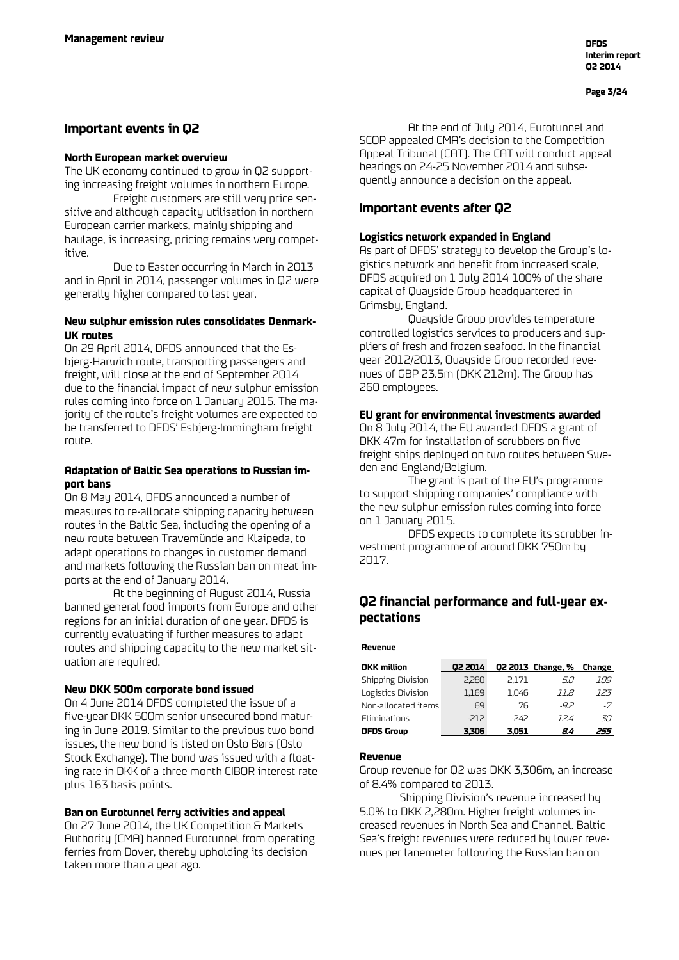## **Important events in Q2**

### **North European market overview**

The UK economy continued to grow in Q2 supporting increasing freight volumes in northern Europe.

Freight customers are still very price sensitive and although capacity utilisation in northern European carrier markets, mainly shipping and haulage, is increasing, pricing remains very competitive.

Due to Easter occurring in March in 2013 and in April in 2014, passenger volumes in Q2 were generally higher compared to last year.

## **New sulphur emission rules consolidates Denmark-UK routes**

On 29 April 2014, DFDS announced that the Esbjerg-Harwich route, transporting passengers and freight, will close at the end of September 2014 due to the financial impact of new sulphur emission rules coming into force on 1 January 2015. The majority of the route's freight volumes are expected to be transferred to DFDS' Esbjerg-Immingham freight route.

## **Adaptation of Baltic Sea operations to Russian import bans**

On 8 May 2014, DFDS announced a number of measures to re-allocate shipping capacity between routes in the Baltic Sea, including the opening of a new route between Travemünde and Klaipeda, to adapt operations to changes in customer demand and markets following the Russian ban on meat imports at the end of January 2014.

At the beginning of August 2014, Russia banned general food imports from Europe and other regions for an initial duration of one year. DFDS is currently evaluating if further measures to adapt routes and shipping capacity to the new market situation are required.

## **New DKK 500m corporate bond issued**

On 4 June 2014 DFDS completed the issue of a five-year DKK 500m senior unsecured bond maturing in June 2019. Similar to the previous two bond issues, the new bond is listed on Oslo Børs (Oslo Stock Exchange). The bond was issued with a floating rate in DKK of a three month CIBOR interest rate plus 163 basis points.

#### **Ban on Eurotunnel ferry activities and appeal**

On 27 June 2014, the UK Competition & Markets Authority (CMA) banned Eurotunnel from operating ferries from Dover, thereby upholding its decision taken more than a year ago.

At the end of July 2014, Eurotunnel and SCOP appealed CMA's decision to the Competition Appeal Tribunal (CAT). The CAT will conduct appeal hearings on 24-25 November 2014 and subsequently announce a decision on the appeal.

## **Important events after Q2**

#### **Logistics network expanded in England**

As part of DFDS' strategy to develop the Group's logistics network and benefit from increased scale, DFDS acquired on 1 July 2014 100% of the share capital of Quayside Group headquartered in Grimsby, England.

Quayside Group provides temperature controlled logistics services to producers and suppliers of fresh and frozen seafood. In the financial year 2012/2013, Quayside Group recorded revenues of GBP 23.5m (DKK 212m). The Group has 260 employees.

#### **EU grant for environmental investments awarded**

On 8 July 2014, the EU awarded DFDS a grant of DKK 47m for installation of scrubbers on five freight ships deployed on two routes between Sweden and England/Belgium.

The grant is part of the EU's programme to support shipping companies' compliance with the new sulphur emission rules coming into force on 1 January 2015.

DFDS expects to complete its scrubber investment programme of around DKK 750m by 2017.

## **Q2 financial performance and full-year expectations**

#### **Revenue**

| <b>DKK</b> million  | 02 2014 |       | Q2 2013 Change, % Change |      |
|---------------------|---------|-------|--------------------------|------|
| Shipping Division   | 2.280   | 2.171 | 5.0                      | 109  |
| Logistics Division  | 1,169   | 1.046 | 11.8                     | 123  |
| Non-allocated items | 69      | 76    | $-92$                    | $-7$ |
| Eliminations        | -212    | -242  | 124                      | 30   |
| <b>DFDS Group</b>   | 3.306   | 3.051 | 84                       | 255  |

## **Revenue**

Group revenue for Q2 was DKK 3,306m, an increase of 8.4% compared to 2013.

Shipping Division's revenue increased by 5.0% to DKK 2,280m. Higher freight volumes increased revenues in North Sea and Channel. Baltic Sea's freight revenues were reduced by lower revenues per lanemeter following the Russian ban on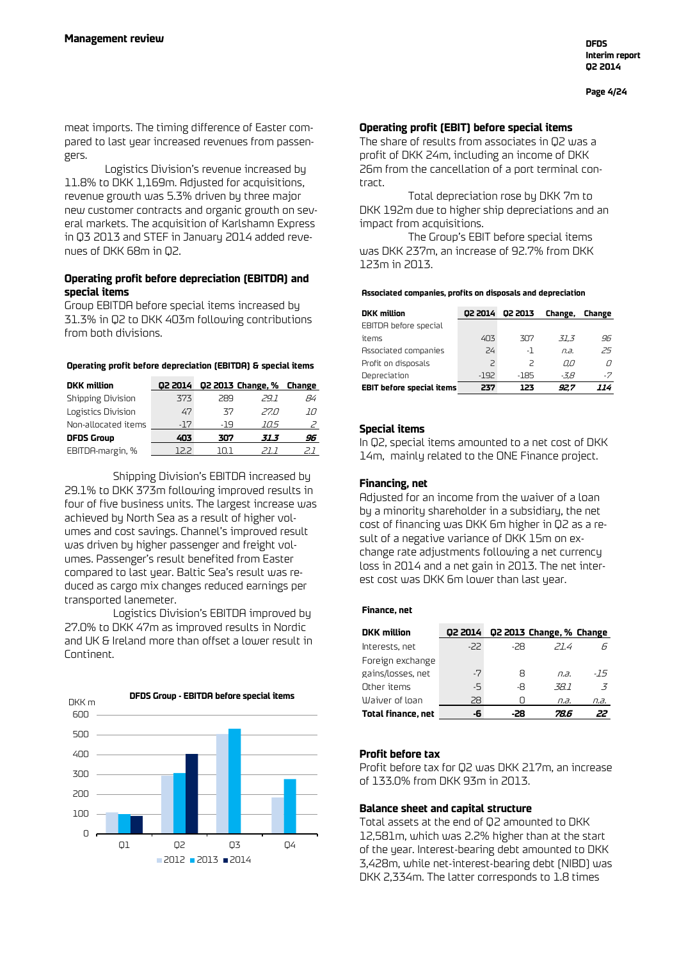**Page 4/24**

meat imports. The timing difference of Easter compared to last year increased revenues from passengers.

Logistics Division's revenue increased by 11.8% to DKK 1,169m. Adjusted for acquisitions, revenue growth was 5.3% driven by three major new customer contracts and organic growth on several markets. The acquisition of Karlshamn Express in Q3 2013 and STEF in January 2014 added revenues of DKK 68m in Q2.

## **Operating profit before depreciation (EBITDA) and special items**

Group EBITDA before special items increased by 31.3% in Q2 to DKK 403m following contributions from both divisions.

#### **Operating profit before depreciation (EBITDA) & special items**

| <b>DKK</b> million  | 02 2014 |        | Q2 2013 Change, % Change |     |
|---------------------|---------|--------|--------------------------|-----|
| Shipping Division   | 373     | 289    | 291                      | 84  |
| Logistics Division  | 47      | 37     | 27 N                     | 10  |
| Non-allocated items | $-17$   | -19    | 705                      |     |
| <b>DFDS Group</b>   | 403     | 307    | 31.3                     | 96  |
| EBITDA-margin, %    | 122     | 11 L L |                          | ا س |

Shipping Division's EBITDA increased by 29.1% to DKK 373m following improved results in four of five business units. The largest increase was achieved by North Sea as a result of higher volumes and cost savings. Channel's improved result was driven by higher passenger and freight volumes. Passenger's result benefited from Easter compared to last year. Baltic Sea's result was reduced as cargo mix changes reduced earnings per transported lanemeter.

Logistics Division's EBITDA improved by 27.0% to DKK 47m as improved results in Nordic and UK & Ireland more than offset a lower result in Continent.



### **Operating profit (EBIT) before special items**

The share of results from associates in Q2 was a profit of DKK 24m, including an income of DKK 26m from the cancellation of a port terminal contract.

Total depreciation rose by DKK 7m to DKK 192m due to higher ship depreciations and an impact from acquisitions.

The Group's EBIT before special items was DKK 237m, an increase of 92.7% from DKK 123m in 2013.

#### **Associated companies, profits on disposals and depreciation**

| <b>DKK</b> million               | 02 2014        | 02 2013 | Change, | Change |
|----------------------------------|----------------|---------|---------|--------|
| EBITDA before special            |                |         |         |        |
| items                            | 403            | 307     | 31.3    | 96     |
| Associated companies             | 24             | -1      | n.a.    | 25     |
| Profit on disposals              | $\overline{c}$ | $\geq$  | 0.0     |        |
| Depreciation                     | -192           | $-185$  | -3.8    | -7     |
| <b>EBIT before special items</b> | 237            | 123     | 92.7    | 114    |

## **Special items**

In Q2, special items amounted to a net cost of DKK 14m, mainly related to the ONE Finance project.

### **Financing, net**

Adjusted for an income from the waiver of a loan by a minority shareholder in a subsidiary, the net cost of financing was DKK 6m higher in Q2 as a result of a negative variance of DKK 15m on exchange rate adjustments following a net currency loss in 2014 and a net gain in 2013. The net interest cost was DKK 6m lower than last year.

#### **Finance, net**

| <b>DKK</b> million | 02 2014 |     | Q2 2013 Change, % Change |                |
|--------------------|---------|-----|--------------------------|----------------|
| Interests, net     | $-22$   | -28 | 21.4                     |                |
| Foreign exchange   |         |     |                          |                |
| gains/losses, net  | $-7$    | 8   | $\overline{a}$           | -15            |
| Other items        | -5      | -8  | -38.1                    | $\overline{5}$ |
| Waiver of loan     | 28      |     | n.a.                     | n.a.           |
| Total finance, net | -6      | -28 | 78.6                     |                |

## **Profit before tax**

Profit before tax for Q2 was DKK 217m, an increase of 133.0% from DKK 93m in 2013.

## **Balance sheet and capital structure**

Total assets at the end of Q2 amounted to DKK 12,581m, which was 2.2% higher than at the start of the year. Interest-bearing debt amounted to DKK 3,428m, while net-interest-bearing debt (NIBD) was DKK 2,334m. The latter corresponds to 1.8 times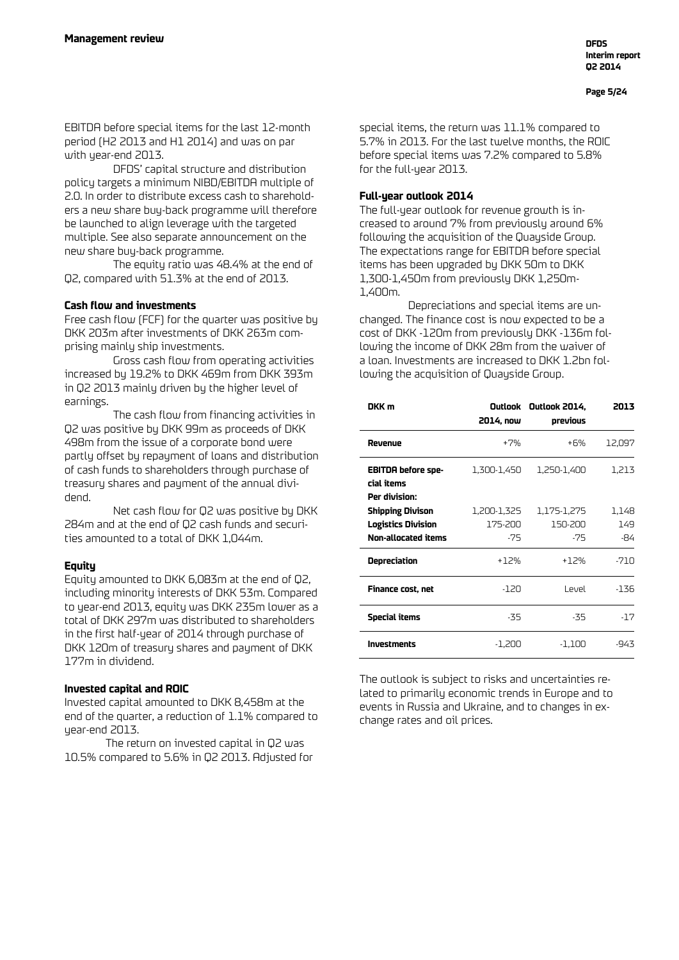EBITDA before special items for the last 12-month period (H2 2013 and H1 2014) and was on par with year-end 2013.

DFDS' capital structure and distribution policy targets a minimum NIBD/EBITDA multiple of 2.0. In order to distribute excess cash to shareholders a new share buy-back programme will therefore be launched to align leverage with the targeted multiple. See also separate announcement on the new share buy-back programme.

The equity ratio was 48.4% at the end of Q2, compared with 51.3% at the end of 2013.

## **Cash flow and investments**

Free cash flow (FCF) for the quarter was positive by DKK 203m after investments of DKK 263m comprising mainly ship investments.

Gross cash flow from operating activities increased by 19.2% to DKK 469m from DKK 393m in Q2 2013 mainly driven by the higher level of earnings.

The cash flow from financing activities in Q2 was positive by DKK 99m as proceeds of DKK 498m from the issue of a corporate bond were partly offset by repayment of loans and distribution of cash funds to shareholders through purchase of treasury shares and payment of the annual dividend.

Net cash flow for Q2 was positive by DKK 284m and at the end of Q2 cash funds and securities amounted to a total of DKK 1,044m.

## **Equity**

Equity amounted to DKK 6,083m at the end of Q2, including minority interests of DKK 53m. Compared to year-end 2013, equity was DKK 235m lower as a total of DKK 297m was distributed to shareholders in the first half-year of 2014 through purchase of DKK 120m of treasury shares and payment of DKK 177m in dividend.

## **Invested capital and ROIC**

Invested capital amounted to DKK 8,458m at the end of the quarter, a reduction of 1.1% compared to year-end 2013.

The return on invested capital in Q2 was 10.5% compared to 5.6% in Q2 2013. Adjusted for special items, the return was 11.1% compared to 5.7% in 2013. For the last twelve months, the ROIC before special items was 7.2% compared to 5.8% for the full-year 2013.

## **Full-year outlook 2014**

The full-year outlook for revenue growth is increased to around 7% from previously around 6% following the acquisition of the Quayside Group. The expectations range for EBITDA before special items has been upgraded by DKK 50m to DKK 1,300-1,450m from previously DKK 1,250m-1,400m.

Depreciations and special items are unchanged. The finance cost is now expected to be a cost of DKK -120m from previously DKK -136m following the income of DKK 28m from the waiver of a loan. Investments are increased to DKK 1.2bn following the acquisition of Quayside Group.

| DKK m                                                                       | 2014, now                       | Outlook Outlook 2014,<br>previous | 2013                |
|-----------------------------------------------------------------------------|---------------------------------|-----------------------------------|---------------------|
| Revenue                                                                     | +7%                             | +6%                               | 12,097              |
| <b>EBITDA before spe-</b><br>cial items<br>Per division:                    | 1,300-1,450                     | 1,250-1,400                       | 1,213               |
| <b>Shipping Divison</b><br><b>Logistics Division</b><br>Non-allocated items | 1,200-1,325<br>175-200<br>$-75$ | 1,175-1,275<br>150-200<br>$-75$   | 1,148<br>149<br>-84 |
| Depreciation                                                                | $+12%$                          | +12%                              | -710                |
| Finance cost, net                                                           | -120                            | Level                             | -136                |
| <b>Special items</b>                                                        | -35                             | -35                               | $-17$               |
| <b>Investments</b>                                                          | -1,200                          | -1,100                            | -943                |

The outlook is subject to risks and uncertainties related to primarily economic trends in Europe and to events in Russia and Ukraine, and to changes in exchange rates and oil prices.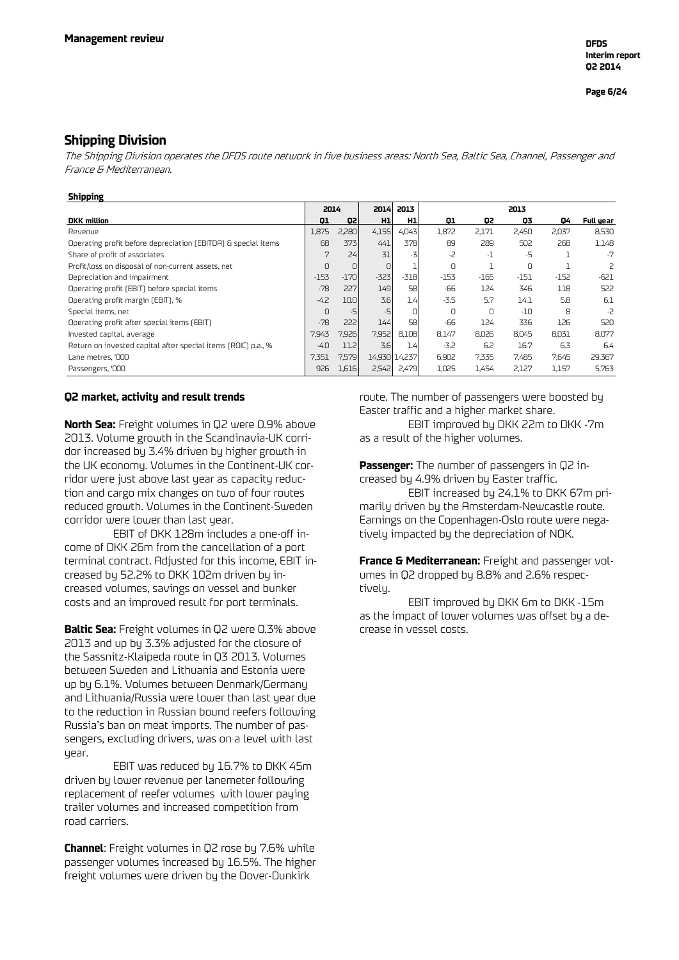## **Shipping Division**

The Shipping Division operates the DFDS route network in five business areas: North Sea, Baltic Sea, Channel, Passenger and France & Mediterranean.

#### **Shipping**

|                                                               | 2014   |        | 2014   | 2013          |        |        | 2013     |        |           |
|---------------------------------------------------------------|--------|--------|--------|---------------|--------|--------|----------|--------|-----------|
| <b>DKK</b> million                                            | 01     | 02     | H1     | H1            | 01     | Q2     | 03       | 04     | Full year |
| Revenue                                                       | 1,875  | 2,280  | 4,155  | 4,043         | 1,872  | 2,171  | 2,450    | 2,037  | 8,530     |
| Operating profit before depreciation (EBITDA) & special items | 68     | 3731   | 441    | 378           | 89     | 289    | 502      | 268    | 1,148     |
| Share of profit of associates                                 | 7      | 24     | 31     | $-7$          | -2     | -1     | -5       |        | $-7$      |
| Profit/loss on disposal of non-current assets, net            | 0      | $\Box$ | $\Box$ |               | 0      |        | $\Omega$ |        | 2         |
| Depreciation and impairment                                   | $-153$ | $-170$ | $-323$ | $-318$        | $-153$ | $-165$ | $-151$   | $-152$ | $-621$    |
| Operating profit (EBIT) before special items                  | $-78$  | 227    | 149    | 58            | -66    | 124    | 346      | 118    | 522       |
| Operating profit margin (EBIT), %                             | $-4.2$ | 10.0   | 3.6    | 1.4           | $-3.5$ | 5.7    | 14.1     | 5.8    | 6.1       |
| Special items, net                                            | 0      | $-5$   | $-5$   | n             | 0      | 0      | $-10$    | 8      | -2        |
| Operating profit after special items (EBIT)                   | $-78$  | 222    | 144    | 58            | -66    | 124    | 336      | 126    | 520       |
| Invested capital, average                                     | 7.943  | 7,926  | 7,952  | 8,108         | 8.147  | 8,026  | 8.045    | 8,031  | 8,077     |
| Return on invested capital after special items (ROIC) p.a., % | $-4.0$ | 11.2   | 3.61   | 1.4           | $-3.2$ | 6.2    | 16.7     | 6.3    | 6.4       |
| Lane metres, '000                                             | 7,351  | 7,579  |        | 14,930 14,237 | 6,902  | 7,335  | 7,485    | 7,645  | 29,367    |
| Passengers, '000                                              | 926    | 1,616  | 2,542  | 2,479         | 1,025  | 1,454  | 2,127    | 1,157  | 5,763     |

#### **Q2 market, activity and result trends**

**North Sea:** Freight volumes in Q2 were 0.9% above 2013. Volume growth in the Scandinavia-UK corridor increased by 3.4% driven by higher growth in the UK economy. Volumes in the Continent-UK corridor were just above last year as capacity reduction and cargo mix changes on two of four routes reduced growth. Volumes in the Continent-Sweden corridor were lower than last year.

EBIT of DKK 128m includes a one-off income of DKK 26m from the cancellation of a port terminal contract. Adjusted for this income, EBIT increased by 52.2% to DKK 102m driven by increased volumes, savings on vessel and bunker costs and an improved result for port terminals.

**Baltic Sea:** Freight volumes in Q2 were 0.3% above 2013 and up by 3.3% adjusted for the closure of the Sassnitz-Klaipeda route in Q3 2013. Volumes between Sweden and Lithuania and Estonia were up by 6.1%. Volumes between Denmark/Germany and Lithuania/Russia were lower than last year due to the reduction in Russian bound reefers following Russia's ban on meat imports. The number of passengers, excluding drivers, was on a level with last year.

EBIT was reduced by 16.7% to DKK 45m driven by lower revenue per lanemeter following replacement of reefer volumes with lower paying trailer volumes and increased competition from road carriers.

**Channel**: Freight volumes in Q2 rose by 7.6% while passenger volumes increased by 16.5%. The higher freight volumes were driven by the Dover-Dunkirk

route. The number of passengers were boosted by Easter traffic and a higher market share. EBIT improved by DKK 22m to DKK -7m

as a result of the higher volumes.

**Passenger:** The number of passengers in Q2 increased by 4.9% driven by Easter traffic.

EBIT increased by 24.1% to DKK 67m primarily driven by the Amsterdam-Newcastle route. Earnings on the Copenhagen-Oslo route were negatively impacted by the depreciation of NOK.

**France & Mediterranean:** Freight and passenger volumes in Q2 dropped by 8.8% and 2.6% respectively.

EBIT improved by DKK 6m to DKK -15m as the impact of lower volumes was offset by a decrease in vessel costs.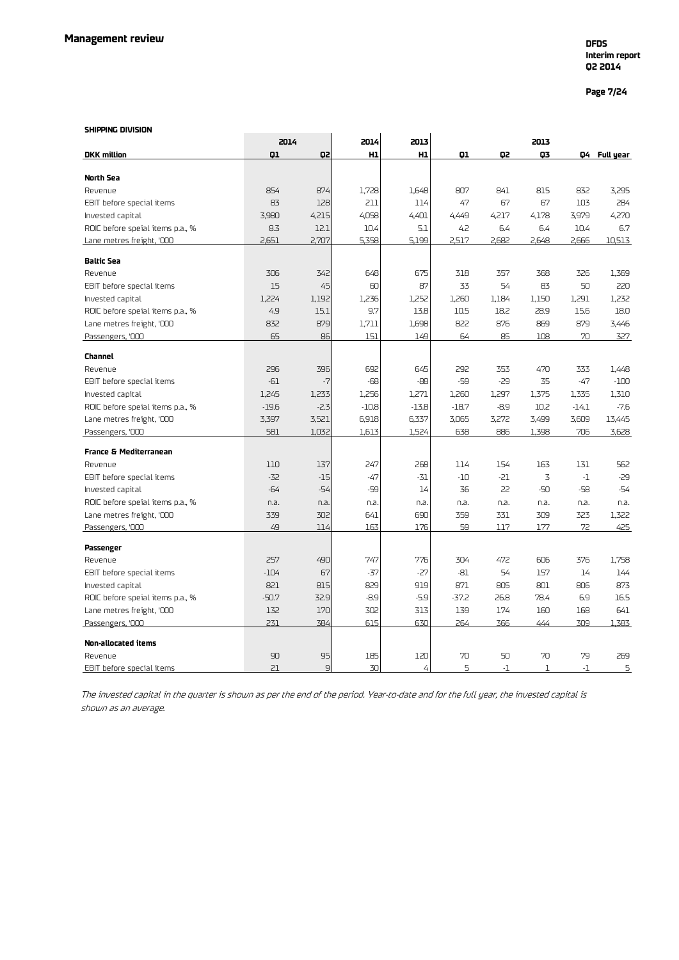**Page 7/24**

#### **SHIPPING DIVISION**

|                                   |         | 2014           |         | 2013    |         |        | 2013         |         |              |
|-----------------------------------|---------|----------------|---------|---------|---------|--------|--------------|---------|--------------|
| <b>DKK</b> million                | 01      | Q2             | H1      | H1      | Q1      | Q2     | 03           |         | Q4 Full year |
|                                   |         |                |         |         |         |        |              |         |              |
| North Sea                         |         |                |         |         |         |        |              |         |              |
| Revenue                           | 854     | 874            | 1,728   | 1,648   | 807     | 841    | 815          | 832     | 3,295        |
| EBIT before special items         | 83      | 128            | 211     | 114     | 47      | 67     | 67           | 103     | 284          |
| Invested capital                  | 3,980   | 4,215          | 4,058   | 4,401   | 4,449   | 4,217  | 4,178        | 3,979   | 4,270        |
| ROIC before speial items p.a., %  | 8.3     | 12.1           | 10.4    | 5.1     | 4.2     | 6.4    | 6.4          | 10.4    | 6.7          |
| Lane metres freight, '000         | 2,651   | 2,707          | 5,358   | 5,199   | 2,517   | 2,682  | 2,648        | 2,666   | 10,513       |
| <b>Baltic Sea</b>                 |         |                |         |         |         |        |              |         |              |
| Revenue                           | 306     | 342            | 648     | 675     | 318     | 357    | 368          | 326     | 1,369        |
| EBIT before special items         | 15      | 45             | 60      | 87      | 33      | 54     | 83           | 50      | 220          |
| Invested capital                  | 1,224   | 1,192          | 1,236   | 1,252   | 1,260   | 1,184  | 1,150        | 1,291   | 1,232        |
| ROIC before speial items p.a., %  | 4.9     | 15.1           | 9.7     | 13.8    | 10.5    | 18.2   | 28.9         | 15.6    | 18.0         |
| Lane metres freight, '000         | 832     | 879            | 1,711   | 1,698   | 822     | 876    | 869          | 879     | 3,446        |
| Passengers, '000                  | 65      | 86             | 151     | 149     | 64      | 85     | 108          | 70      | 327          |
| <b>Channel</b>                    |         |                |         |         |         |        |              |         |              |
| Revenue                           | 296     | 396            | 692     | 645     | 292     | 353    | 470          | 333     | 1,448        |
| EBIT before special items         | $-61$   | $-7$           | $-68$   | -88     | $-59$   | $-29$  | 35           | $-47$   | $-100$       |
| Invested capital                  | 1,245   | 1,233          | 1,256   | 1,271   | 1,260   | 1,297  | 1,375        | 1,335   | 1,310        |
| ROIC before speial items p.a., %  | $-19.6$ | $-2.3$         | $-10.8$ | $-13.8$ | $-18.7$ | $-8.9$ | 10.2         | $-14.1$ | $-7.6$       |
| Lane metres freight, '000         | 3,397   | 3,521          | 6,918   | 6,337   | 3,065   | 3,272  | 3,499        | 3,609   | 13,445       |
| Passengers, '000                  | 581     | 1,032          | 1,613   | 1,524   | 638     | 886    | 1,398        | 706     | 3,628        |
|                                   |         |                |         |         |         |        |              |         |              |
| <b>France &amp; Mediterranean</b> |         |                |         |         |         |        |              |         |              |
| Revenue                           | 110     | 137            | 247     | 268     | 114     | 154    | 163          | 131     | 562          |
| EBIT before special items         | $-32$   | $-15$          | $-47$   | $-31$   | $-10$   | $-21$  | 3            | $-1$    | $-29$        |
| Invested capital                  | $-64$   | $-54$          | -59     | 14      | 36      | 22     | -50          | $-58$   | $-54$        |
| ROIC before speial items p.a., %  | n.a.    | n.a.           | n.a.    | n.a.    | n.a.    | n.a.   | n.a.         | n.a.    | n.a.         |
| Lane metres freight, '000         | 339     | 302            | 641     | 690     | 359     | 331    | 309          | 323     | 1,322        |
| Passengers, '000                  | 49      | 114            | 163     | 176     | 59      | 117    | 177          | 72      | 425          |
| Passenger                         |         |                |         |         |         |        |              |         |              |
| Revenue                           | 257     | 490            | 747     | 776     | 304     | 472    | 606          | 376     | 1,758        |
| EBIT before special items         | $-104$  | 67             | $-37$   | $-27$   | $-81$   | 54     | 157          | 14      | 144          |
| Invested capital                  | 821     | 815            | 829     | 919     | 871     | 805    | 801          | 806     | 873          |
| ROIC before speial items p.a., %  | $-50.7$ | 32.9           | $-8.9$  | $-5.9$  | $-37.2$ | 26.8   | 78.4         | 6.9     | 16.5         |
| Lane metres freight, '000         | 132     | 170            | 302     | 313     | 139     | 174    | 160          | 168     | 641          |
| Passengers, '000                  | 231     | 384            | 615     | 630     | 264     | 366    | 444          | 309     | 1,383        |
|                                   |         |                |         |         |         |        |              |         |              |
| <b>Non-allocated items</b>        |         |                |         |         |         |        |              |         |              |
| Revenue                           | 90      | 95             | 185     | 120     | 70      | 50     | 70           | 79      | 269          |
| EBIT before special items         | 21      | $\overline{9}$ | 30      | 4       | 5       | $-1$   | $\mathbf{1}$ | $-1$    | 5            |

The invested capital in the quarter is shown as per the end of the period. Year-to-date and for the full year, the invested capital is shown as an average.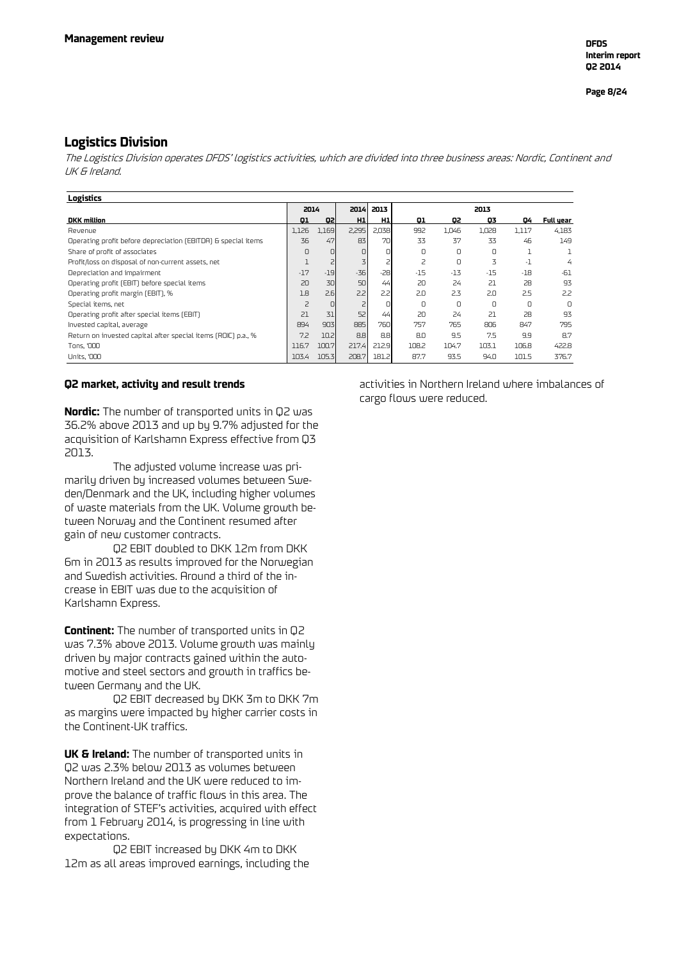## **Logistics Division**

The Logistics Division operates DFDS' logistics activities, which are divided into three business areas: Nordic, Continent and UK & Ireland.

| Logistics                                                     |                |                      |                  |       |        |       |       |       |           |
|---------------------------------------------------------------|----------------|----------------------|------------------|-------|--------|-------|-------|-------|-----------|
|                                                               |                | 2014<br>2013<br>2014 |                  |       |        | 2013  |       |       |           |
| <b>DKK</b> million                                            | 01             | Q2                   | H <sub>1</sub>   | H1    | Q1     | Q2    | Q3    | 04    | Full year |
| Revenue                                                       | 1.126          | 1,169                | 2,295            | 2,038 | 992    | 1.046 | 1.028 | 1.117 | 4.183     |
| Operating profit before depreciation (EBITDA) & special items | 36             | 47                   | 83               | 70    | 33     | 37    | 33    | 46    | 149       |
| Share of profit of associates                                 | 0              | O.                   | 0                | n     | 0      | n     | 0     |       |           |
| Profit/loss on disposal of non-current assets, net            |                | 2                    | 3                |       | 2      | 0     | 3     | $-1$  | 4         |
| Depreciation and impairment                                   | $-17$          | $-19$                | $-36$            | $-28$ | $-15$  | $-13$ | $-15$ | $-18$ | -61       |
| Operating profit (EBIT) before special items                  | 20             | 30                   | 50               | 44    | 20     | 24    | 21    | 28    | 93        |
| Operating profit margin (EBIT), %                             | 1.8            | 2.6                  | 2.2              | 2.21  | 2.0    | 2.3   | 2.0   | 2.5   | 22        |
| Special items, net                                            | $\overline{z}$ | 0                    |                  | n     | $\cup$ | n     | O     | n     | <b>n</b>  |
| Operating profit after special items (EBIT)                   | 21             | 31                   | 52               | 44    | 20     | 24    | 21    | 28    | 93        |
| Invested capital, average                                     | 894            | 903                  | 885              | 760   | 757    | 765   | 806   | 847   | 795       |
| Return on invested capital after special items (ROIC) p.a., % | 7.2            | 10.2                 | 8.8 <sub>1</sub> | 8.8   | 8.0    | 9.5   | 7.5   | 9.9   | 8.7       |
| Tons, '000                                                    | 116.7          | 100.7                | 217.4            | 212.9 | 108.2  | 104.7 | 103.1 | 106.8 | 422.8     |
| Units, '000                                                   | 103.4          | 105.3                | 208.7            | 181.2 | 87.7   | 93.5  | 94.0  | 101.5 | 376.7     |

#### **Q2 market, activity and result trends**

**Nordic:** The number of transported units in Q2 was 36.2% above 2013 and up by 9.7% adjusted for the acquisition of Karlshamn Express effective from Q3 2013.

The adjusted volume increase was primarily driven by increased volumes between Sweden/Denmark and the UK, including higher volumes of waste materials from the UK. Volume growth between Norway and the Continent resumed after gain of new customer contracts.

Q2 EBIT doubled to DKK 12m from DKK 6m in 2013 as results improved for the Norwegian and Swedish activities. Around a third of the increase in EBIT was due to the acquisition of Karlshamn Express.

**Continent:** The number of transported units in Q2 was 7.3% above 2013. Volume growth was mainly driven by major contracts gained within the automotive and steel sectors and growth in traffics between Germany and the UK.

Q2 EBIT decreased by DKK 3m to DKK 7m as margins were impacted by higher carrier costs in the Continent-UK traffics.

**UK & Ireland:** The number of transported units in Q2 was 2.3% below 2013 as volumes between Northern Ireland and the UK were reduced to improve the balance of traffic flows in this area. The integration of STEF's activities, acquired with effect from 1 February 2014, is progressing in line with expectations.

Q2 EBIT increased by DKK 4m to DKK 12m as all areas improved earnings, including the

activities in Northern Ireland where imbalances of cargo flows were reduced.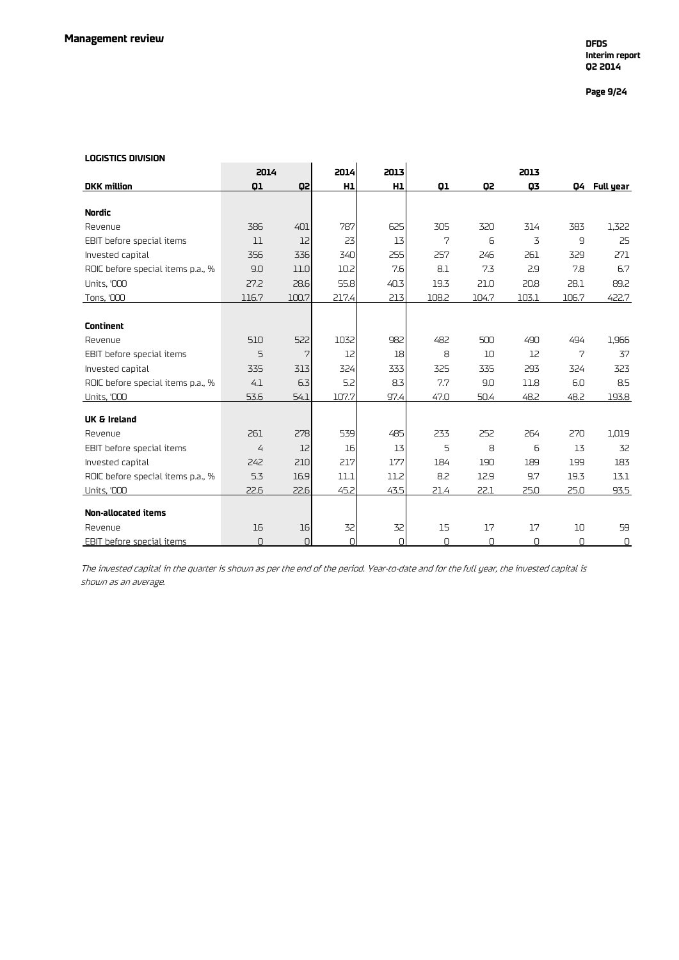## **Page 9/24**

#### **LOGISTICS DIVISION**

| LUUISIILS UIVISIUN                |                |       |          |          |       |       |       |                |              |
|-----------------------------------|----------------|-------|----------|----------|-------|-------|-------|----------------|--------------|
|                                   | 2014           |       | 2014     | 2013     |       |       | 2013  |                |              |
| <b>DKK</b> million                | 01             | Q2    | H1       | H1       | 01    | Q2    | 03    |                | Q4 Full year |
|                                   |                |       |          |          |       |       |       |                |              |
| <b>Nordic</b>                     |                |       |          |          |       |       |       |                |              |
| Revenue                           | 386            | 401   | 787      | 625      | 305   | 320   | 314   | 383            | 1,322        |
| EBIT before special items         | 11             | 12    | 23       | 13       | 7     | 6     | 3     | $\overline{9}$ | 25           |
| Invested capital                  | 356            | 336   | 340      | 255      | 257   | 246   | 261   | 329            | 271          |
| ROIC before special items p.a., % | 9.0            | 11.0  | 10.2     | 7.6      | 81    | 7.3   | 2.9   | 7.8            | 6.7          |
| <b>Units, '000</b>                | 27.2           | 28.6  | 55.8     | 40.3     | 19.3  | 21.0  | 20.8  | 28.1           | 89.2         |
| Tons, '000                        | 116.7          | 100.7 | 217.4    | 213      | 108.2 | 104.7 | 103.1 | 106.7          | 422.7        |
|                                   |                |       |          |          |       |       |       |                |              |
| <b>Continent</b>                  |                |       |          |          |       |       |       |                |              |
| Revenue                           | 510            | 522   | 1032     | 982      | 482   | 500   | 490   | 494            | 1,966        |
| EBIT before special items         | 5              | 7     | 12       | 18       | 8     | 10    | 12    | 7              | 37           |
| Invested capital                  | 335            | 313   | 324      | 333      | 325   | 335   | 293   | 324            | 323          |
| ROIC before special items p.a., % | 4.1            | 6.3   | 5.2      | 8.3      | 7.7   | 9.0   | 11.8  | 6.0            | 8.5          |
| <b>Units, '000</b>                | 53.6           | 54.1  | 107.7    | 97.4     | 47.0  | 50.4  | 48.2  | 48.2           | 193.8        |
| <b>UK &amp; Ireland</b>           |                |       |          |          |       |       |       |                |              |
| Revenue                           | 261            | 278   | 539      | 485      | 233   | 252   | 264   | 270            | 1,019        |
| EBIT before special items         | $\overline{4}$ | 12    | 16       | 13       | 5     | 8     | 6     | 13             | 32           |
| Invested capital                  | 242            | 210   | 217      | 177      | 184   | 190   | 189   | 199            | 183          |
| ROIC before special items p.a., % | 5.3            | 16.9  | 11.1     | 11.2     | 8.2   | 12.9  | 9.7   | 19.3           | 13.1         |
| <b>Units, '000</b>                | 22.6           | 22.6  | 45.2     | 43.5     | 21.4  | 22.1  | 25.0  | 25.0           | 93.5         |
|                                   |                |       |          |          |       |       |       |                |              |
| <b>Non-allocated items</b>        |                |       |          |          |       |       |       |                |              |
| Revenue                           | 16             | 16    | 32       | 32       | 15    | 17    | 17    | 10             | 59           |
| EBIT before special items         | n              | 0     | $\Omega$ | $\Omega$ | n     | U     | n     | n              | 0            |

The invested capital in the quarter is shown as per the end of the period. Year-to-date and for the full year, the invested capital is shown as an average.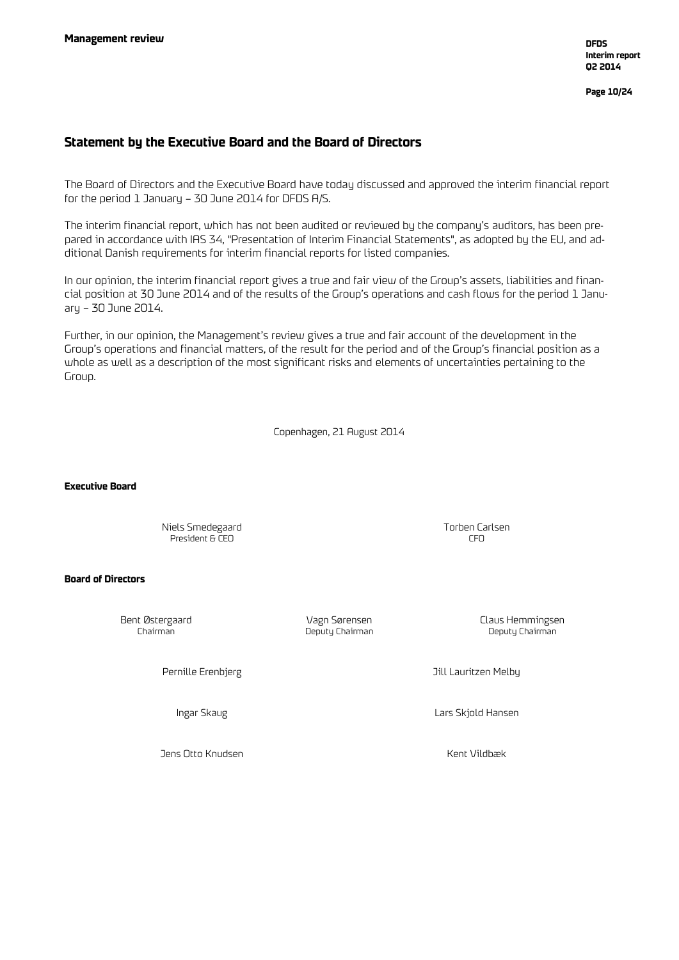**Page 10/24**

## **Statement by the Executive Board and the Board of Directors**

The Board of Directors and the Executive Board have today discussed and approved the interim financial report for the period 1 January – 30 June 2014 for DFDS A/S.

The interim financial report, which has not been audited or reviewed by the company's auditors, has been prepared in accordance with IAS 34, "Presentation of Interim Financial Statements", as adopted by the EU, and additional Danish requirements for interim financial reports for listed companies.

In our opinion, the interim financial report gives a true and fair view of the Group's assets, liabilities and financial position at 30 June 2014 and of the results of the Group's operations and cash flows for the period 1 January – 30 June 2014.

Further, in our opinion, the Management's review gives a true and fair account of the development in the Group's operations and financial matters, of the result for the period and of the Group's financial position as a whole as well as a description of the most significant risks and elements of uncertainties pertaining to the Group.

Copenhagen, 21 August 2014

**Executive Board**

Niels Smedegaard Torben Carlsen President & CEO

#### **Board of Directors**

Deputy Chairman

Bent Østergaard Vagn Sørensen Claus Hemmingsen

Pernille Erenbjerg Jill Lauritzen Melby

Ingar Skaug Lars Skjold Hansen

Jens Otto Knudsen Kent Vildbæk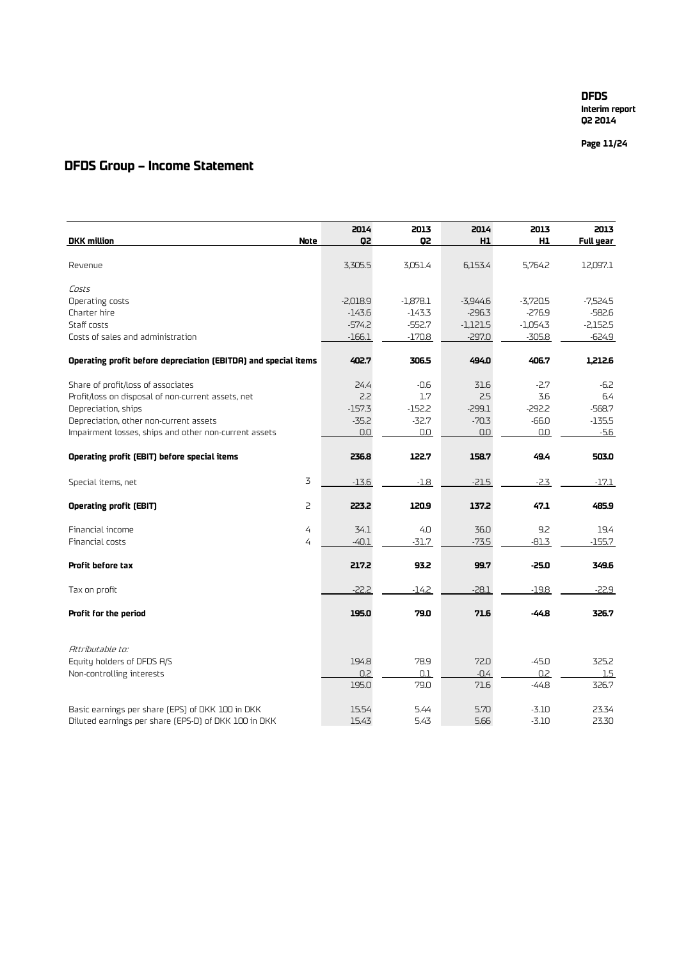**Page 11 /24**

## **DFDS Group – Income Statement**

|                                                                 |                | 2014       | 2013       | 2014       | 2013       | 2013       |
|-----------------------------------------------------------------|----------------|------------|------------|------------|------------|------------|
| <b>DKK</b> million                                              | Note           | Q2         | Q2         | H1         | H1         | Full year  |
| Revenue                                                         |                | 3,305.5    | 3,051.4    | 6,153.4    | 5,764.2    | 12,097.1   |
| Costs                                                           |                |            |            |            |            |            |
| Operating costs                                                 |                | $-2,018.9$ | $-1,878.1$ | $-3,944.6$ | $-3,720.5$ | $-7,524.5$ |
| Charter hire                                                    |                | $-143.6$   | $-143.3$   | $-296.3$   | $-276.9$   | $-582.6$   |
| Staff costs                                                     |                | $-574.2$   | $-552.7$   | $-1,121.5$ | $-1,054.3$ | $-2,152.5$ |
| Costs of sales and administration                               |                | $-166.1$   | $-170.8$   | $-297.0$   | $-305.8$   | $-624.9$   |
| Operating profit before depreciation (EBITDA) and special items |                | 402.7      | 306.5      | 494.0      | 406.7      | 1,212.6    |
| Share of profit/loss of associates                              |                | 24.4       | $-0.6$     | 31.6       | $-2.7$     | $-6.2$     |
| Profit/loss on disposal of non-current assets, net              |                | 2.2        | 1.7        | 2.5        | 3.6        | 6.4        |
| Depreciation, ships                                             |                | $-157.3$   | $-152.2$   | $-299.1$   | $-292.2$   | $-568.7$   |
| Depreciation, other non-current assets                          |                | $-35.2$    | $-32.7$    | $-70.3$    | $-66.0$    | $-135.5$   |
| Impairment losses, ships and other non-current assets           |                | 0.0        | 0.0        | 0.0        | 0.0        | $-5.6$     |
| Operating profit (EBIT) before special items                    |                | 236.8      | 122.7      | 158.7      | 49.4       | 503.0      |
| Special items, net                                              | $\overline{3}$ | $-13.6$    | $-1.8$     | $-21.5$    | $-2.3$     | $-17.1$    |
| <b>Operating profit (EBIT)</b>                                  | 2              | 223.2      | 120.9      | 137.2      | 47.1       | 485.9      |
| Financial income                                                | $\overline{4}$ | 34.1       | 4.0        | 36.0       | 9.2        | 19.4       |
| Financial costs                                                 | 4              | $-40.1$    | $-31.7$    | $-73.5$    | $-81.3$    | $-155.7$   |
| Profit before tax                                               |                | 217.2      | 93.2       | 99.7       | $-25.0$    | 349.6      |
| Tax on profit                                                   |                | $-22.2$    | $-14.2$    | $-28.1$    | $-19.8$    | $-22.9$    |
| Profit for the period                                           |                | 195.0      | 79.0       | 71.6       | $-44.8$    | 326.7      |
| Attributable to:                                                |                |            |            |            |            |            |
| Equity holders of DFDS A/S                                      |                | 194.8      | 78.9       | 72.0       | $-45.0$    | 325.2      |
| Non-controlling interests                                       |                | 0.2        | 0.1        | $-0.4$     | 0.2        | $1.5\,$    |
|                                                                 |                | 195.0      | 79.0       | 71.6       | $-44.8$    | 326.7      |
| Basic earnings per share [EPS] of DKK 100 in DKK                |                | 15.54      | 5.44       | 5.70       | $-3.10$    | 23.34      |
| Diluted earnings per share (EPS-D) of DKK 100 in DKK            |                | 15.43      | 5.43       | 5.66       | $-3.10$    | 23.30      |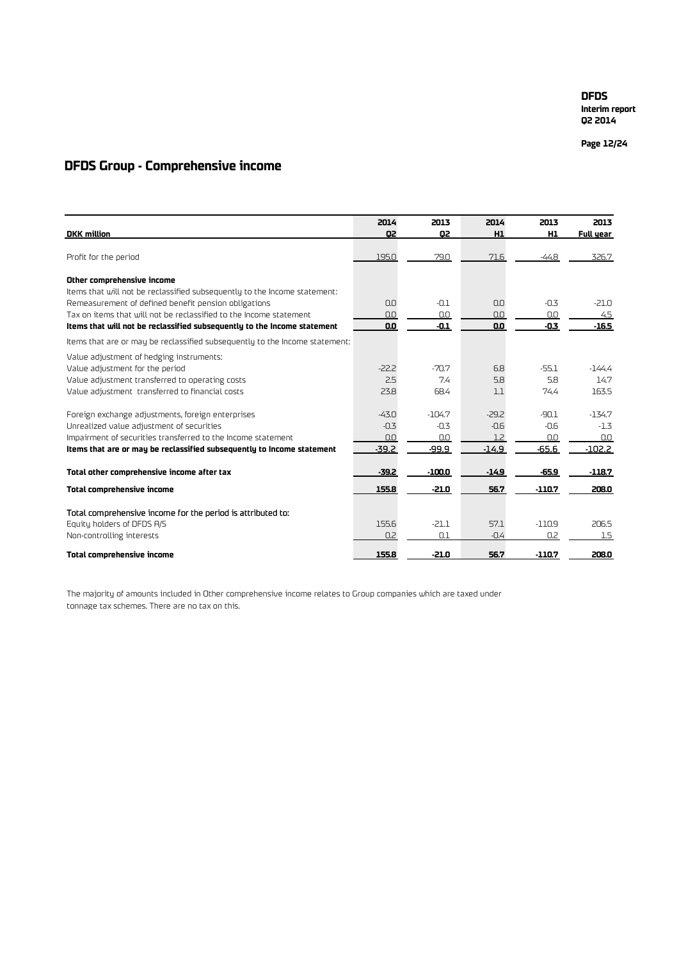**Interim report Q2 2014**

**Page 12 /24**

## **DFDS Group - Comprehensive income**

|                                                                             | 2014    | 2013     | 2014           | 2013           | 2013      |
|-----------------------------------------------------------------------------|---------|----------|----------------|----------------|-----------|
| <b>DKK</b> million                                                          | Q2      | Q2       | H <sub>1</sub> | H <sub>1</sub> | Full year |
| Profit for the period                                                       | 195.0   | 79.0     | 71.6           | -44.8          | 326.7     |
| Other comprehensive income                                                  |         |          |                |                |           |
| Items that will not be reclassified subsequently to the Income statement:   |         |          |                |                |           |
| Remeasurement of defined benefit pension obligations                        | 0.0     | $-0.1$   | 0.0            | $-0.3$         | $-21.0$   |
| Tax on items that will not be reclassified to the Income statement          | 0.0     | 0.0      | 0.0            | 0.0            | 4.5       |
| Items that will not be reclassified subsequently to the Income statement    | 0.0     | $-0.1$   | 0.0            | $-0.3$         | $-16.5$   |
| Items that are or may be reclassified subsequently to the Income statement: |         |          |                |                |           |
| Value adjustment of hedging instruments:                                    |         |          |                |                |           |
| Value adjustment for the period                                             | $-22.2$ | $-70.7$  | 6.8            | $-55.1$        | -144.4    |
| Value adjustment transferred to operating costs                             | 2.5     | 7.4      | 5.8            | 5.8            | 14.7      |
| Value adjustment transferred to financial costs                             | 23.8    | 68.4     | 1.1            | 74.4           | 163.5     |
| Foreign exchange adjustments, foreign enterprises                           | $-43.0$ | $-104.7$ | $-29.2$        | $-90.1$        | $-134.7$  |
| Unrealized value adjustment of securities                                   | $-0.3$  | $-0.3$   | $-0.6$         | $-0.6$         | $-1.3$    |
| Impairment of securities transferred to the Income statement                | 0.0     | 0.0      | 1.2            | 0.0            | 0.0       |
| Items that are or may be reclassified subsequently to Income statement      | $-39.2$ | -99.9    | $-14.9$        | $-65.6$        | $-102.2$  |
| Total other comprehensive income after tax                                  | $-39.2$ | $-100.0$ | $-14.9$        | $-65.9$        | $-118.7$  |
| Total comprehensive income                                                  | 155.8   | -21.0    | 56.7           | $-110.7$       | 208.0     |
| Total comprehensive income for the period is attributed to:                 |         |          |                |                |           |
| Equity holders of DFDS A/S                                                  | 155.6   | $-21.1$  | 57.1           | $-110.9$       | 206.5     |
| Non-controlling interests                                                   | 0.2     | 0.1      | $-0.4$         | 0.2            | 1.5       |
| <b>Total comprehensive income</b>                                           | 155.8   | $-21.0$  | 56.7           | $-110.7$       | 208.0     |

The majority of amounts included in Other comprehensive income relates to Group companies which are taxed under tonnage tax schemes. There are no tax on this.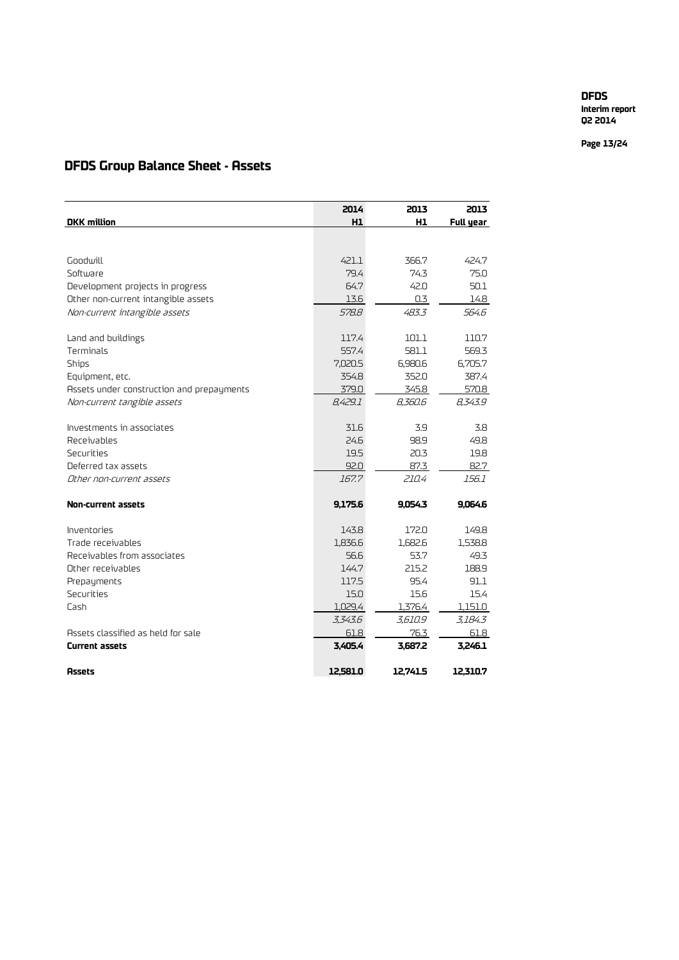**Interim report Q2 2014**

**Page 13 /24**

## **DFDS Group Balance Sheet - Assets**

|                                           | 2014     | 2013     | 2013      |
|-------------------------------------------|----------|----------|-----------|
| <b>DKK</b> million                        | H1       | H1       | Full year |
|                                           |          |          |           |
|                                           |          |          |           |
| Goodwill                                  | 421.1    | 366.7    | 424.7     |
| Software                                  | 79.4     | 74.3     | 75.0      |
| Development projects in progress          | 64.7     | 42.0     | 50.1      |
| Other non-current intangible assets       | 13.6     | 0.3      | 14.8      |
| Non-current intangible assets             | 578.8    | 483.3    | 564.6     |
|                                           |          |          |           |
| Land and buildings                        | 117.4    | 101.1    | 110.7     |
| Terminals                                 | 557.4    | 581.1    | 569.3     |
| <b>Ships</b>                              | 7,020.5  | 6,980.6  | 6,705.7   |
| Equipment, etc.                           | 354.8    | 352.0    | 387.4     |
| Assets under construction and prepayments | 379.0    | 345.8    | 570.8     |
| Non-current tangible assets               | 8.429.1  | 8,360.6  | 8,343.9   |
| Investments in associates                 | 31.6     | 3.9      | 3.8       |
| Receivables                               | 24.6     | 98.9     | 49.8      |
| Securities                                | 19.5     | 20.3     | 19.8      |
| Deferred tax assets                       | 92.0     | 87.3     | 82.7      |
| Other non-current assets                  | 167.7    | 210.4    | 156.1     |
|                                           |          |          |           |
| Non-current assets                        | 9,175.6  | 9,054.3  | 9,064.6   |
| Inventories                               | 143.8    | 172.0    | 149.8     |
| Trade receivables                         | 1,836.6  | 1,682.6  | 1,538.8   |
| Receivables from associates               | 56.6     | 53.7     | 49.3      |
| Other receivables                         | 144.7    | 215.2    | 188.9     |
| Prepayments                               | 117.5    | 95.4     | 91.1      |
| Securities                                | 15.0     | 15.6     | 15.4      |
| Cash                                      | 1,029.4  | 1,376.4  | 1,151.0   |
|                                           | 3,343.6  | 3,610.9  | 3,184.3   |
| Assets classified as held for sale        | 61.8     | 76.3     | 61.8      |
| <b>Current assets</b>                     | 3,405.4  | 3,687.2  | 3,246.1   |
|                                           |          |          |           |
| <b>Assets</b>                             | 12.581.0 | 12.741.5 | 12.310.7  |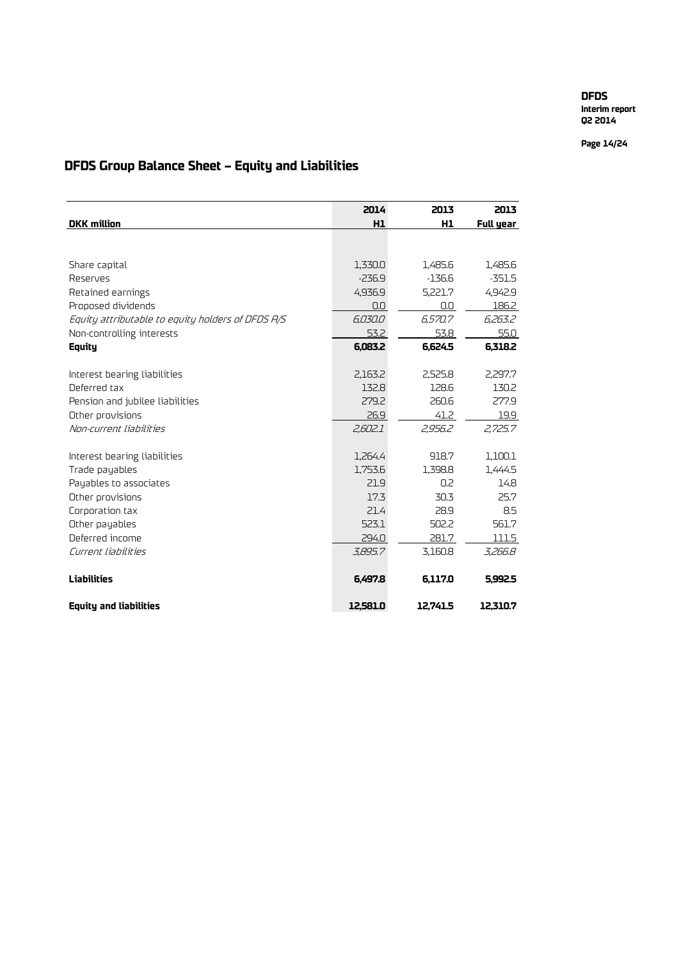**Interim report Q2 2014**

**Page 14/24**

# **DFDS Group Balance Sheet – Equity and Liabilities**

|                                                   | 2014     | 2013     | 2013        |
|---------------------------------------------------|----------|----------|-------------|
| <b>DKK</b> million                                | H1       | H1       | Full year   |
|                                                   |          |          |             |
|                                                   |          |          |             |
| Share capital                                     | 1,330.0  | 1,485.6  | 1,485.6     |
| Reserves                                          | $-236.9$ | $-136.6$ | $-351.5$    |
| Retained earnings                                 | 4,936.9  | 5,221.7  | 4,942.9     |
| Proposed dividends                                | 0.0      | 0.0      | 186.2       |
| Equity attributable to equity holders of DFDS A/S | 6,030.0  | 6.570.7  | 6,263.2     |
| Non-controlling interests                         | 53.2     | 53.8     | 55.0        |
| Equity                                            | 6.083.2  | 6.624.5  | 6.318.2     |
|                                                   |          |          |             |
| Interest bearing liabilities                      | 2,163.2  | 2.525.8  | 2.297.7     |
| Deferred tax                                      | 132.8    | 128.6    | 130.2       |
| Pension and jubilee liabilities                   | 279.2    | 260.6    | 277.9       |
| Other provisions                                  | 26.9     | 41.2     | <u>19.9</u> |
| Non-current liabilities                           | 2,602.1  | 2,956.2  | 2,725.7     |
|                                                   |          |          |             |
| Interest bearing liabilities                      | 1,264.4  | 918.7    | 1,100.1     |
| Trade payables                                    | 1,753.6  | 1.398.8  | 1,444.5     |
| Payables to associates                            | 21.9     | 0.2      | 14.8        |
| Other provisions                                  | 17.3     | 30.3     | 25.7        |
| Corporation tax                                   | 21.4     | 28.9     | 8.5         |
| Other payables                                    | 523.1    | 502.2    | 561.7       |
| Deferred income                                   | 294.0    | 281.7    | 111.5       |
| Current liabilities                               | 3,895.7  | 3,160.8  | 3,266.8     |
|                                                   |          |          |             |
| <b>Liabilities</b>                                | 6,497.8  | 6,117.0  | 5,992.5     |
|                                                   |          |          |             |
| <b>Equity and liabilities</b>                     | 12.581.0 | 12,741.5 | 12,310.7    |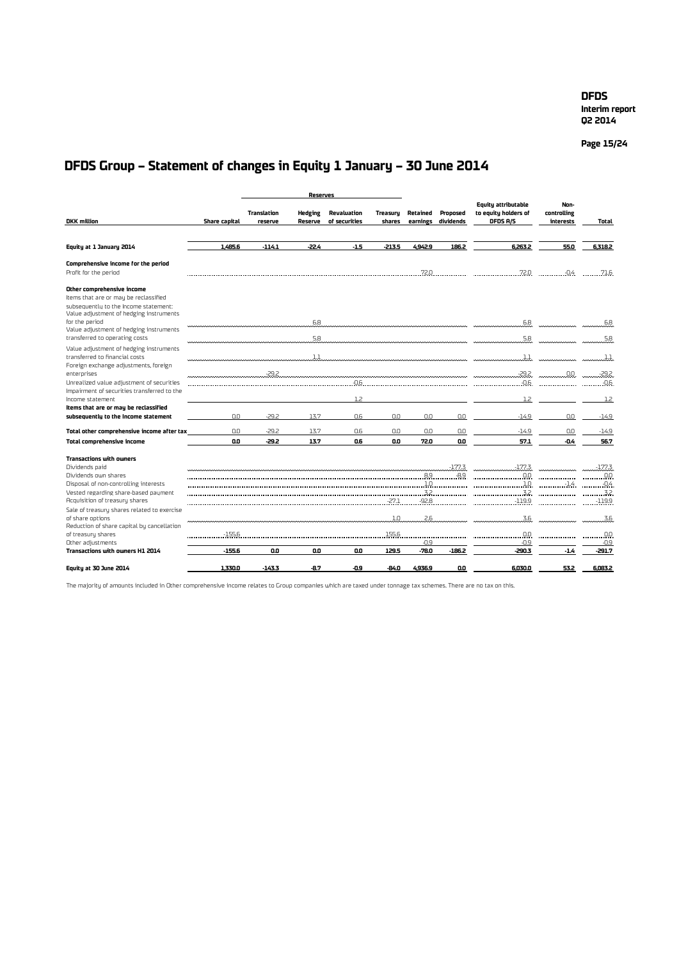**Interim report Q2 2014**

**Page 15/24**

# **DFDS Group – Statement of changes in Equity 1 January – 30 June 2014**

|                                                                                                                                                                                                                      |               |                        | <b>Reserves</b>           |                              |                    |                      |                       |                                                                |                                  |                 |
|----------------------------------------------------------------------------------------------------------------------------------------------------------------------------------------------------------------------|---------------|------------------------|---------------------------|------------------------------|--------------------|----------------------|-----------------------|----------------------------------------------------------------|----------------------------------|-----------------|
| <b>DKK</b> million                                                                                                                                                                                                   | Share capital | Translation<br>reserve | <b>Hedging</b><br>Reserve | Revaluation<br>of securities | Treasury<br>shares | Retained<br>earnings | Proposed<br>dividends | <b>Equity attributable</b><br>to equity holders of<br>DFDS A/S | Non-<br>controlling<br>interests | <b>Total</b>    |
|                                                                                                                                                                                                                      |               |                        |                           |                              |                    |                      |                       |                                                                |                                  |                 |
| Equity at 1 January 2014                                                                                                                                                                                             | 1,485.6       | $-114.1$               | $-22.4$                   | $-1.5$                       | $-213.5$           | 4942.9               | 186.2                 | 6,263.2                                                        | 55.0                             | 6.318.2         |
| Comprehensive income for the period<br>Profit for the period                                                                                                                                                         |               |                        |                           |                              |                    | <b>72.0</b>          |                       | .72.0                                                          | $-0.4$                           | .71.6           |
| Other comprehensive income<br>Items that are or may be reclassified<br>subsequently to the income statement:<br>Value adjustment of hedging instruments<br>for the period<br>Value adjustment of hedging instruments |               |                        | 6.8                       |                              |                    |                      |                       | 6.8                                                            |                                  | 6.8             |
| transferred to operating costs                                                                                                                                                                                       |               |                        | 5.8                       |                              |                    |                      |                       | 5.8                                                            |                                  | 5.8             |
| Value adjustment of hedging instruments<br>transferred to financial costs<br>Foreign exchange adjustments, foreign                                                                                                   |               |                        | 1.1                       |                              |                    |                      |                       | $1.1$                                                          |                                  |                 |
| enterprises<br>Unrealized value adjustment of securities                                                                                                                                                             |               | $-29.2$                |                           | $-0.6$                       |                    |                      |                       | $-29.2$<br>-0.6                                                | 0.0                              | $-29.2$<br>-0.6 |
| Impairment of securities transferred to the<br>Income statement                                                                                                                                                      |               |                        |                           | 1.7                          |                    |                      |                       | 1.2                                                            |                                  | 1.2             |
| Items that are or may be reclassified<br>subsequently to the income statement                                                                                                                                        | n.n           | $-29.2$                | 13.7                      | 0.6                          | n.n                | 0.0                  | ΩO                    | $-14.9$                                                        | nn                               | $-14.9$         |
| Total other comprehensive income after tax                                                                                                                                                                           | n.n           | $-29.2$                | 13.7                      | 0.6                          | n.n                | n.n                  | 0.0                   | $-14.9$                                                        | nn                               | $-14.9$         |
| <b>Total comprehensive income</b>                                                                                                                                                                                    | 0.O           | $-29.2$                | 13.7                      | 0.6                          | 0.O                | 72.0                 | 0.0                   | 57.1                                                           | -04                              | 56.7            |
| <b>Transactions with owners</b><br>Dividends paid                                                                                                                                                                    |               |                        |                           |                              |                    |                      | $-177.3$              | $-177.3$                                                       |                                  | $-177.3$        |
| Dividends own shares                                                                                                                                                                                                 |               |                        |                           |                              |                    | 8.9                  | $-8.9$                | 0.0                                                            |                                  | 0.0             |
| Disposal of non-controlling interests                                                                                                                                                                                |               |                        |                           |                              |                    | .1.0                 |                       | 10                                                             | -1.4                             | . 0.4           |
| Vested regarding share-based payment                                                                                                                                                                                 |               |                        |                           |                              |                    | 32                   |                       | 32.                                                            |                                  | 32              |
| Acquisition of treasury shares                                                                                                                                                                                       |               |                        |                           |                              | $-27.1$            | $-92.8$              |                       | $-119.9$                                                       |                                  | $-119.9$        |
| Sale of treasury shares related to exercise<br>of share options<br>Reduction of share capital by cancellation                                                                                                        |               |                        |                           |                              | 1.0                | 2.6                  |                       | 3.6                                                            |                                  | 3.6             |
| of treasury shares                                                                                                                                                                                                   | $-155.6$      |                        |                           |                              | 155.6              |                      |                       | 0.0                                                            |                                  | 0.0             |
| Other adjustments                                                                                                                                                                                                    |               |                        |                           |                              |                    | $-0.9$               |                       | $-0.9$                                                         |                                  | $-0.9$          |
| Transactions with owners H1 2014                                                                                                                                                                                     | $-155.6$      | 0.0                    | 0.0                       | 0.0                          | 129.5              | -78.0                | $-186.2$              | -290.3                                                         | $-1.4$                           | -291.7          |
| Equity at 30 June 2014                                                                                                                                                                                               | 1.330.0       | $-143.3$               | $-8.7$                    | -0.9                         | $-84.0$            | 4.936.9              | O.O                   | 6.030.0                                                        | 53.2                             | 6.083.2         |

The majority of amounts included in Other comprehensive income relates to Group companies which are taxed under tonnage tax schemes. There are no tax on this.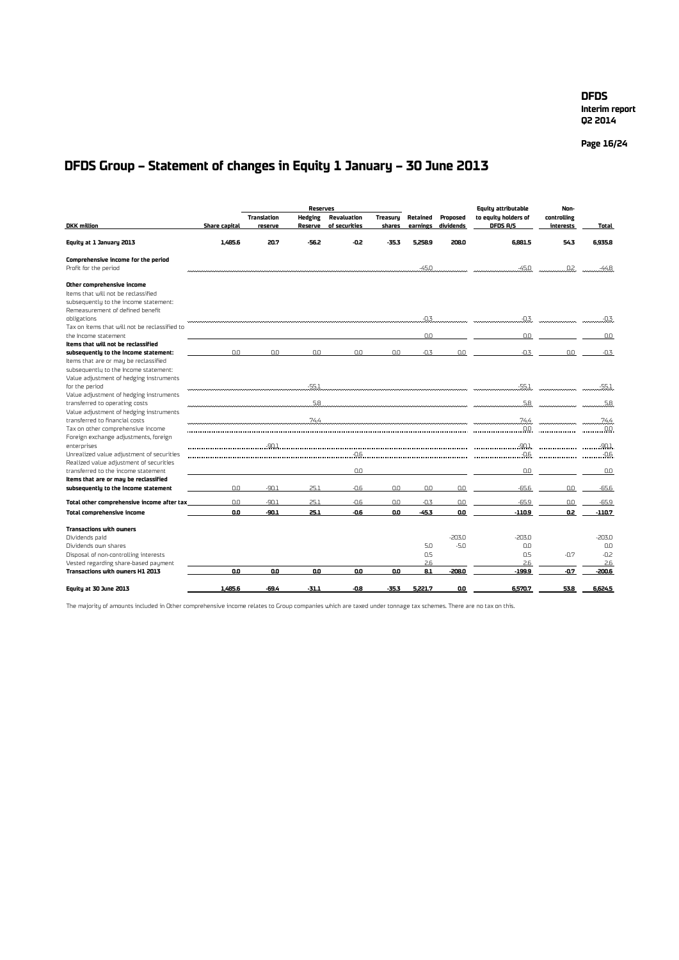**Q2 2014**

**Page 16/24**

# **DFDS Group – Statement of changes in Equity 1 January – 30 June 2013**

|                                                                                                                                                                    |                      |                               | <b>Reserves</b>           |                              |                    |                      |                       | Equity attributable              | Non-                                |                                      |
|--------------------------------------------------------------------------------------------------------------------------------------------------------------------|----------------------|-------------------------------|---------------------------|------------------------------|--------------------|----------------------|-----------------------|----------------------------------|-------------------------------------|--------------------------------------|
| <b>DKK</b> million                                                                                                                                                 | <b>Share capital</b> | <b>Translation</b><br>reserve | <b>Hedging</b><br>Reserve | Revaluation<br>of securities | Treasury<br>shares | Retained<br>earnings | Proposed<br>dividends | to equity holders of<br>DFDS A/S | controlling<br>interests            | <b>Total</b>                         |
| Equity at 1 January 2013                                                                                                                                           | 1.485.6              | 20.7                          | -56.2                     | -0.2                         | $-35.3$            | 5.258.9              | 208.0                 | 6.881.5                          | 54.3                                | 6.935.8                              |
| Comprehensive income for the period<br>Profit for the period                                                                                                       |                      |                               |                           |                              |                    | $-45.0$              |                       | -45.0                            | .02.                                | $-44.8$                              |
| Other comprehensive income<br>Items that will not be reclassified<br>subsequently to the income statement:<br>Remeasurement of defined benefit                     |                      |                               |                           |                              |                    |                      |                       |                                  |                                     |                                      |
| obligations<br>Tax on items that will not be reclassified to                                                                                                       |                      |                               |                           |                              |                    | $-0.3$               |                       | $-0.3$                           |                                     | $-0.3$                               |
| the Income statement                                                                                                                                               |                      |                               |                           |                              |                    | nn                   |                       | 0.0                              |                                     | 0.0                                  |
| Items that will not be reclassified                                                                                                                                |                      |                               |                           |                              |                    |                      |                       |                                  |                                     |                                      |
| subsequently to the income statement:<br>Items that are or may be reclassified<br>subsequently to the Income statement:<br>Value adjustment of hedging instruments | 0.0                  | 0.0                           | 0.0                       | 0.0                          | 0.0                | $-0.3$               | 0.0                   | $-0.3$                           | 0.0                                 | $-0.3$                               |
| for the period                                                                                                                                                     |                      |                               |                           |                              |                    |                      |                       |                                  | <b><i>Communication</i></b> Service | <u>. 55.1</u>                        |
| Value adjustment of hedging instruments<br>transferred to operating costs<br>Value adjustment of hedging instruments                                               |                      |                               | 5.8                       |                              |                    |                      |                       | 5.8                              |                                     | 5.8                                  |
| transferred to financial costs<br>Tax on other comprehensive income                                                                                                |                      |                               | 74.4                      |                              |                    |                      |                       | 100                              |                                     | 74.4<br>$\overline{\phantom{0}}$ 0.0 |
| Foreign exchange adjustments, foreign<br>enterprises<br>Unrealized value adjustment of securities                                                                  |                      | $-90.1$                       |                           | $-0.6$                       |                    |                      |                       | $-0.6$                           |                                     | -90.1<br>$-0.6$                      |
| Realized value adjustment of securities<br>transferred to the income statement                                                                                     |                      |                               |                           | 0.0                          |                    |                      |                       | 0.0                              |                                     | 0.0                                  |
| Items that are or may be reclassified<br>subsequently to the income statement                                                                                      | 0.0                  | $-90.1$                       | 25.1                      | $-0.6$                       | 0.0                | 0.0                  | 0.0                   | $-65.6$                          | 0.0                                 | $-65.6$                              |
| Total other comprehensive income after tax                                                                                                                         | 0.0                  | $-90.1$                       | 25.1                      | $-0.6$                       | 0.0                | $-0.3$               | 0.0                   | $-65.9$                          | 0.0                                 | $-65.9$                              |
| Total comprehensive income                                                                                                                                         | O.O                  | $-90.1$                       | 25.1                      | $-0.6$                       | <b>O.O</b>         | $-45.3$              | 0.0                   | $-110.9$                         | Q2                                  | -110.7                               |
| <b>Transactions with owners</b><br>Dividends paid<br>Dividends own shares                                                                                          |                      |                               |                           |                              |                    | 5.0                  | $-203.0$<br>$-5.0$    | $-203.0$<br>0.0                  |                                     | $-203.0$<br>0.0                      |
| Disposal of non-controlling interests                                                                                                                              |                      |                               |                           |                              |                    | 0.5                  |                       | 0.5                              | $-0.7$                              | $-0.2$                               |
| Vested regarding share-based payment                                                                                                                               |                      |                               |                           |                              |                    | 2.6                  |                       | 2.6                              |                                     | 2.6                                  |
| Transactions with owners H1 2013                                                                                                                                   | 0.0                  | 0.0                           | 0.0                       | 0.0                          | 0.0                | 8.1                  | -208.0                | $-199.9$                         | $-0.7$                              | $-200.6$                             |
| Equity at 30 June 2013                                                                                                                                             | 1,485.6              | -69.4                         | $-31.1$                   | -0.8                         | -35.3              | 5.221.7              | 0.0                   | 6.570.7                          | 53.8                                | 6.624.5                              |

The majority of amounts included in Other comprehensive income relates to Group companies which are taxed under tonnage tax schemes. There are no tax on this.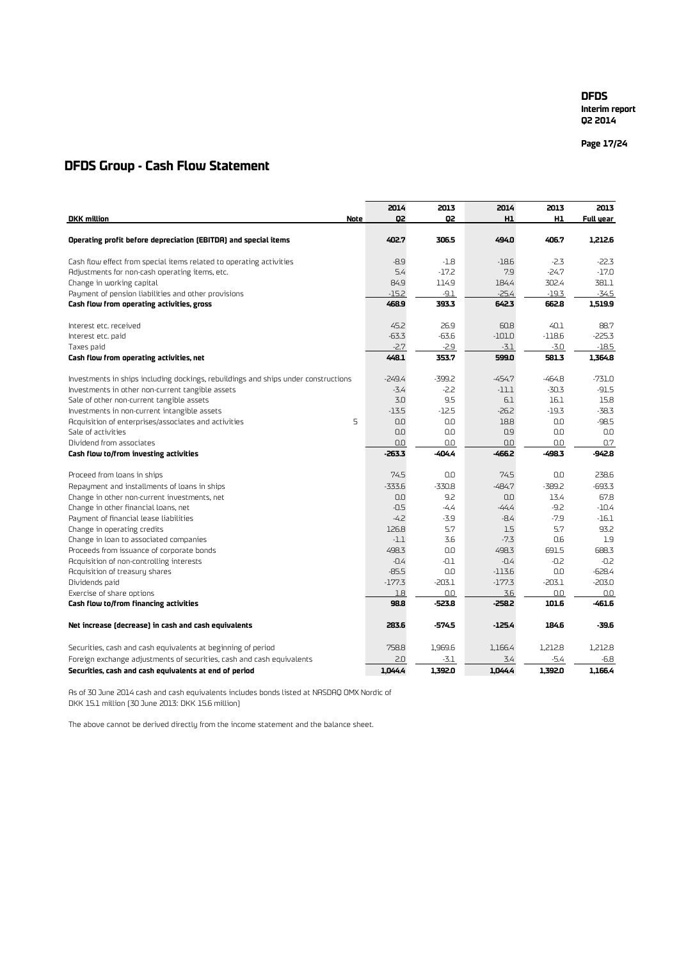**Interim report Q2 2014**

**Page 17 /24**

## **DFDS Group - Cash Flow Statement**

|                                                                                    | 2014     | 2013     | 2014     | 2013           | 2013      |
|------------------------------------------------------------------------------------|----------|----------|----------|----------------|-----------|
| <b>DKK</b> million<br><b>Note</b>                                                  | Q2       | Q2       | H1       | H <sub>1</sub> | Full year |
|                                                                                    |          |          |          |                |           |
| Operating profit before depreciation (EBITDA) and special items                    | 402.7    | 306.5    | 494.0    | 406.7          | 1,212.6   |
| Cash flow effect from special items related to operating activities                | $-8.9$   | $-1.8$   | $-18.6$  | $-2.3$         | $-22.3$   |
| Adjustments for non-cash operating items, etc.                                     | 5.4      | $-17.2$  | 7.9      | $-24.7$        | $-17.0$   |
| Change in working capital                                                          | 84.9     | 114.9    | 184.4    | 302.4          | 381.1     |
| Payment of pension liabilities and other provisions                                | $-15.2$  | $-9.1$   | $-25.4$  | $-19.3$        | $-34.5$   |
| Cash flow from operating activities, gross                                         | 468.9    | 393.3    | 642.3    | 662.8          | 1,519.9   |
| Interest etc. received                                                             | 45.2     | 26.9     | 60.8     | 40.1           | 88.7      |
| Interest etc. paid                                                                 | $-63.3$  | $-63.6$  | $-101.0$ | $-118.6$       | $-225.3$  |
| Taxes paid                                                                         | $-2.7$   | $-2.9$   | $-3.1$   | $-3.0$         | $-18.5$   |
| Cash flow from operating activities, net                                           | 448.1    | 353.7    | 599.0    | 581.3          | 1,364.8   |
| Investments in ships including dockings, rebuildings and ships under constructions | $-249.4$ | $-399.2$ | $-454.7$ | $-464.8$       | $-731.0$  |
| Investments in other non-current tangible assets                                   | -3.4     | $-2.2$   | $-11.1$  | $-30.3$        | $-91.5$   |
| Sale of other non-current tangible assets                                          | 3.0      | 9.5      | 6.1      | 16.1           | 15.8      |
| Investments in non-current intangible assets                                       | $-13.5$  | $-12.5$  | $-26.2$  | -19.3          | $-38.3$   |
| 5<br>Acquisition of enterprises/associates and activities                          | 0.0      | 0.0      | 18.8     | 0.0            | $-98.5$   |
| Sale of activities                                                                 | 0.0      | 0.0      | 0.9      | 0.0            | 0.0       |
| Dividend from associates                                                           | 0.0      | 0.0      | 0.0      | 0.0            | 0.7       |
| Cash flow to/from investing activities                                             | $-263.3$ | $-404.4$ | $-466.2$ | -498.3         | -942.8    |
| Proceed from loans in ships                                                        | 74.5     | 0.0      | 74.5     | 0.0            | 238.6     |
| Repayment and installments of loans in ships                                       | $-333.6$ | $-330.8$ | $-484.7$ | $-389.2$       | $-693.3$  |
| Change in other non-current investments, net                                       | 0.0      | 9.2      | 0.0      | 13.4           | 67.8      |
| Change in other financial loans, net                                               | $-0.5$   | $-4.4$   | $-44.4$  | $-9.2$         | $-10.4$   |
| Payment of financial lease liabilities                                             | $-4.2$   | $-3.9$   | $-8.4$   | $-7.9$         | $-16.1$   |
| Change in operating credits                                                        | 126.8    | 5.7      | 1.5      | 5.7            | 93.2      |
| Change in loan to associated companies                                             | $-1.1$   | 3.6      | $-7.3$   | 0.6            | 1.9       |
| Proceeds from issuance of corporate bonds                                          | 498.3    | 0.0      | 498.3    | 691.5          | 688.3     |
| Acquisition of non-controlling interests                                           | $-0.4$   | $-0.1$   | $-0.4$   | $-0.2$         | $-0.2$    |
| Acquisition of treasury shares                                                     | $-85.5$  | 0.0      | $-113.6$ | 0.0            | $-628.4$  |
| Dividends paid                                                                     | $-177.3$ | $-203.1$ | $-177.3$ | $-203.1$       | $-203.0$  |
| Exercise of share options                                                          | 1.8      | 0.0      | 3.6      | 0.0            | 0.0       |
| Cash flow to/from financing activities                                             | 98.8     | $-523.8$ | $-258.2$ | 101.6          | -461.6    |
| Net increase (decrease) in cash and cash equivalents                               | 283.6    | -574.5   | $-125.4$ | 184.6          | -39.6     |
| Securities, cash and cash equivalents at beginning of period                       | 758.8    | 1.969.6  | 1,166.4  | 1,212.8        | 1,212.8   |
| Foreign exchange adjustments of securities, cash and cash equivalents              | 2.0      | $-3.1$   | 3.4      | $-5.4$         | $-6.8$    |
| Securities, cash and cash equivalents at end of period                             | 1.044.4  | 1,392.0  | 1.044.4  | 1,392.0        | 1.166.4   |

As of 30 June 2014 cash and cash equivalents includes bonds listed at NASDAQ OMX Nordic of DKK 15.1 million (30 June 2013: DKK 15.6 million)

The above cannot be derived directly from the income statement and the balance sheet.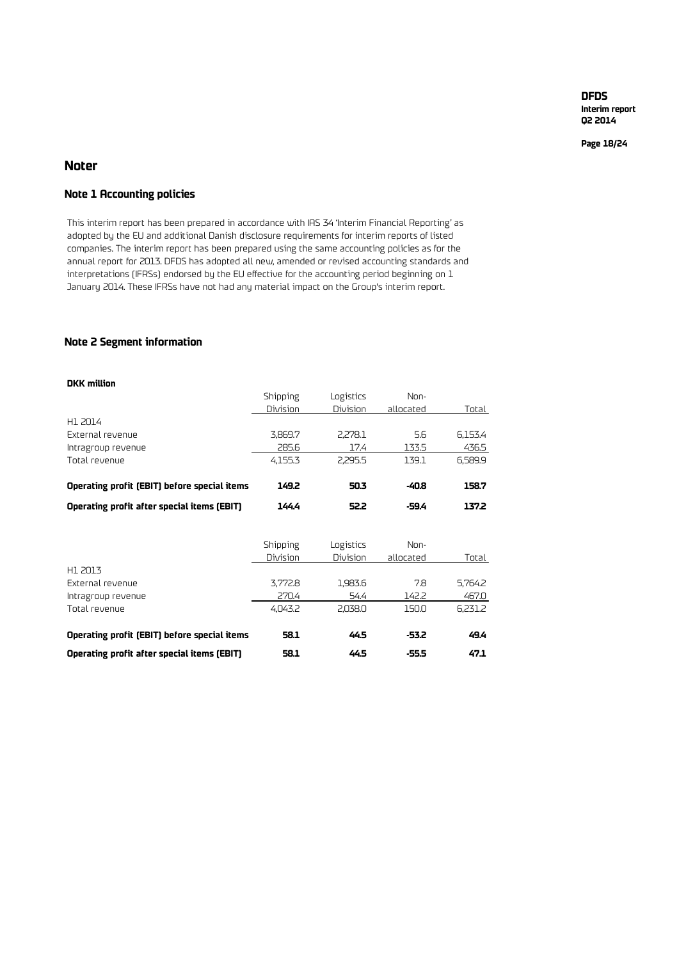**Interim report Q2 2014**

**Page 18/24**

## **Noter**

## **Note 1 Accounting policies**

This interim report has been prepared in accordance with IAS 34 'Interim Financial Reporting' as adopted by the EU and additional Danish disclosure requirements for interim reports of listed companies. The interim report has been prepared using the same accounting policies as for the annual report for 2013. DFDS has adopted all new, amended or revised accounting standards and interpretations (IFRSs) endorsed by the EU effective for the accounting period beginning on 1 January 2014. These IFRSs have not had any material impact on the Group's interim report.

## **Note 2 Segment information**

## **DKK million**

|                                              | Shipping | Logistics | Non-      |         |
|----------------------------------------------|----------|-----------|-----------|---------|
|                                              | Division | Division  | allocated | Total   |
| H1 2014                                      |          |           |           |         |
| External revenue                             | 3,869.7  | 2,278.1   | 5.6       | 6,153.4 |
| Intragroup revenue                           | 285.6    | 17.4      | 133.5     | 436.5   |
| Total revenue                                | 4,155.3  | 2,295.5   | 139.1     | 6,589.9 |
| Operating profit (EBIT) before special items | 149.2    | 50.3      | -40.8     | 158.7   |
| Operating profit after special items (EBIT)  | 144.4    | 52.2      | -59.4     | 137.2   |
|                                              |          |           |           |         |
|                                              | Shipping | Logistics | Non-      |         |
| H1 2013                                      | Division | Division  | allocated | Total   |
| External revenue                             | 3,772.8  | 1,983.6   | 7.8       | 5,764.2 |
| Intragroup revenue                           | 270.4    | 54.4      | 142.2     | 467.0   |
| Total revenue                                | 4,043.2  | 2,038.0   | 150.0     | 6,231.2 |
| Operating profit (EBIT) before special items | 58.1     | 44.5      | -53.2     | 49.4    |
| Operating profit after special items (EBIT)  | 58.1     | 44.5      | $-55.5$   | 47.1    |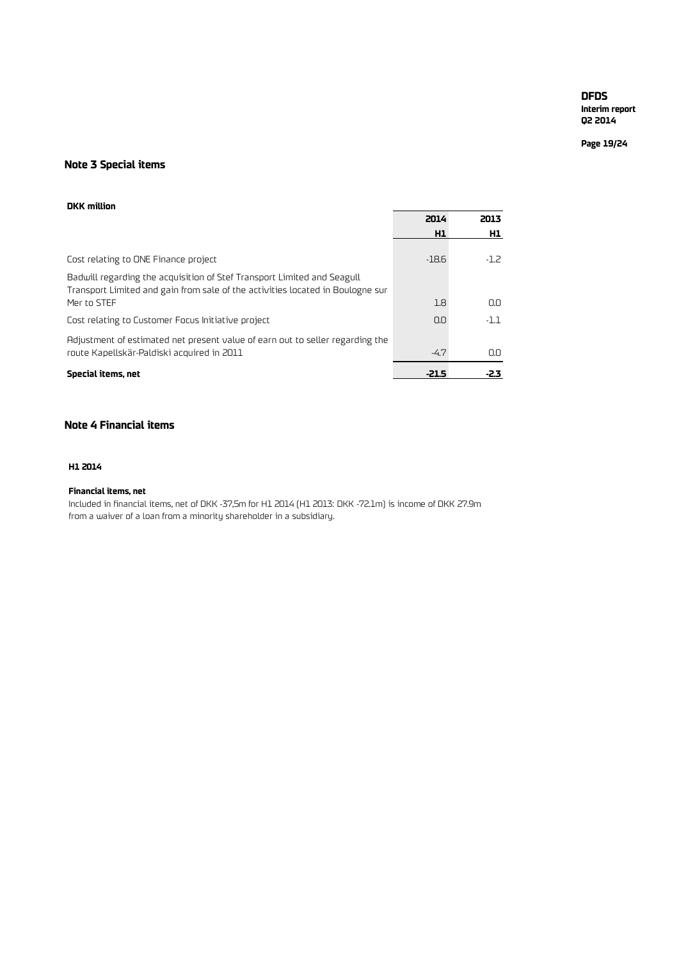**Interim report Q2 2014**

**Page 19/24**

## **Note 3 Special items**

#### **DKK million**

|                                                                                                                                                           | 2014    | 2013   |
|-----------------------------------------------------------------------------------------------------------------------------------------------------------|---------|--------|
|                                                                                                                                                           | H1      | H1     |
| Cost relating to ONE Finance project                                                                                                                      | $-18.6$ | $-1.2$ |
| Badwill regarding the acquisition of Stef Transport Limited and Seagull<br>Transport Limited and gain from sale of the activities located in Boulogne sur |         |        |
| Mer to STEF                                                                                                                                               | 1.8     | 0.0    |
| Cost relating to Customer Focus Initiative project                                                                                                        | 0.0     | $-1.1$ |
| Adjustment of estimated net present value of earn out to seller regarding the<br>route Kapellskär-Paldiski acquired in 2011                               | $-4.7$  | 0.0    |
| Special items, net                                                                                                                                        | $-21.5$ | -2.3   |

## **Note 4 Financial items**

## **H1 2014**

## **Financial items, net**

Included in financial items, net of DKK -37,5m for H1 2014 (H1 2013: DKK -72.1m) is income of DKK 27.9m from a waiver of a loan from a minority shareholder in a subsidiary.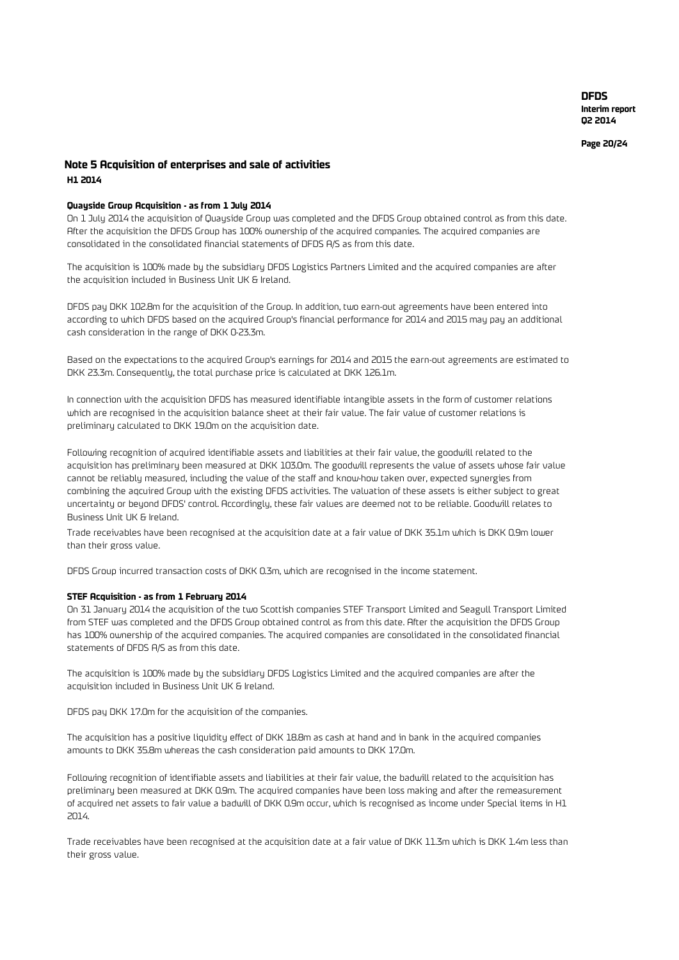**Page 20 /24**

## **Note 5 Acquisition of enterprises and sale of activities H1 2014**

#### **Quayside Group Acquisition - as from 1 July 2014**

On 1 July 2014 the acquisition of Quayside Group was completed and the DFDS Group obtained control as from this date. After the acquisition the DFDS Group has 100% ownership of the acquired companies. The acquired companies are consolidated in the consolidated financial statements of DFDS A/S as from this date.

The acquisition is 100% made by the subsidiary DFDS Logistics Partners Limited and the acquired companies are after the acquisition included in Business Unit UK & Ireland.

DFDS pay DKK 102.8m for the acquisition of the Group. In addition, two earn-out agreements have been entered into according to which DFDS based on the acquired Group's financial performance for 2014 and 2015 may pay an additional cash consideration in the range of DKK 0-23.3m.

Based on the expectations to the acquired Group's earnings for 2014 and 2015 the earn-out agreements are estimated to DKK 23.3m. Consequently, the total purchase price is calculated at DKK 126.1m.

In connection with the acquisition DFDS has measured identifiable intangible assets in the form of customer relations which are recognised in the acquisition balance sheet at their fair value. The fair value of customer relations is preliminary calculated to DKK 19.0m on the acquisition date.

Following recognition of acquired identifiable assets and liabilities at their fair value, the goodwill related to the acquisition has preliminary been measured at DKK 103.0m. The goodwill represents the value of assets whose fair value cannot be reliably measured, including the value of the staff and know-how taken over, expected synergies from combining the aqcuired Group with the existing DFDS activities. The valuation of these assets is either subject to great uncertainty or beyond DFDS' control. Accordingly, these fair values are deemed not to be reliable. Goodwill relates to Business Unit UK & Ireland.

Trade receivables have been recognised at the acquisition date at a fair value of DKK 35.1m which is DKK 0.9m lower than their gross value.

DFDS Group incurred transaction costs of DKK 0.3m, which are recognised in the income statement.

#### **STEF Acquisition - as from 1 February 2014**

On 31 January 2014 the acquisition of the two Scottish companies STEF Transport Limited and Seagull Transport Limited from STEF was completed and the DFDS Group obtained control as from this date. After the acquisition the DFDS Group has 100% ownership of the acquired companies. The acquired companies are consolidated in the consolidated financial statements of DFDS A/S as from this date.

The acquisition is 100% made by the subsidiary DFDS Logistics Limited and the acquired companies are after the acquisition included in Business Unit UK & Ireland.

DFDS pay DKK 17.0m for the acquisition of the companies.

The acquisition has a positive liquidity effect of DKK 18.8m as cash at hand and in bank in the acquired companies amounts to DKK 35.8m whereas the cash consideration paid amounts to DKK 17.0m.

Following recognition of identifiable assets and liabilities at their fair value, the badwill related to the acquisition has preliminary been measured at DKK 0.9m. The acquired companies have been loss making and after the remeasurement of acquired net assets to fair value a badwill of DKK 0.9m occur, which is recognised as income under Special items in H1 2014.

Trade receivables have been recognised at the acquisition date at a fair value of DKK 11.3m which is DKK 1.4m less than their gross value.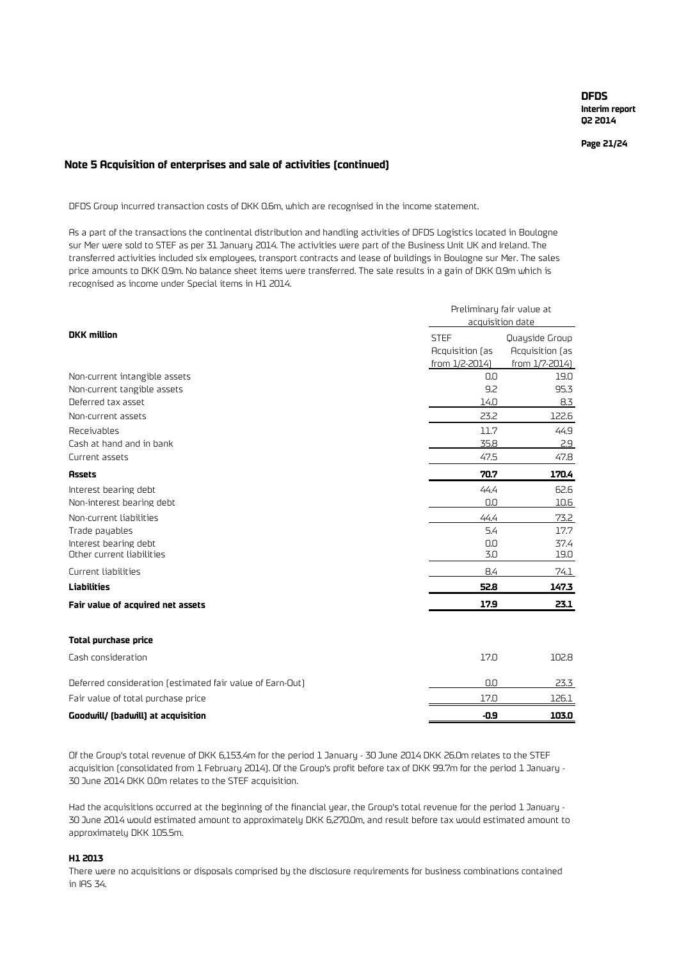**Page 21/24**

### **Note 5 Acquisition of enterprises and sale of activities (continued)**

DFDS Group incurred transaction costs of DKK 0.6m, which are recognised in the income statement.

As a part of the transactions the continental distribution and handling activities of DFDS Logistics located in Boulogne sur Mer were sold to STEF as per 31 January 2014. The activities were part of the Business Unit UK and Ireland. The transferred activities included six employees, transport contracts and lease of buildings in Boulogne sur Mer. The sales price amounts to DKK 0.9m. No balance sheet items were transferred. The sale results in a gain of DKK 0.9m which is recognised as income under Special items in H1 2014.

|                                                           | Preliminary fair value at<br>acquisition date |                                   |  |  |
|-----------------------------------------------------------|-----------------------------------------------|-----------------------------------|--|--|
| <b>DKK</b> million                                        | <b>STEF</b><br>Acquisition (as                | Quayside Group<br>Acquisition (as |  |  |
|                                                           | from 1/2-2014)                                | from 1/7-2014)                    |  |  |
| Non-current intangible assets                             | 0.0                                           | 19.0                              |  |  |
| Non-current tangible assets                               | 9.2                                           | 95.3                              |  |  |
| Deferred tax asset                                        | 14.0                                          | 8.3                               |  |  |
| Non-current assets                                        | 23.2                                          | 122.6                             |  |  |
| Receivables                                               | 11.7                                          | 44.9                              |  |  |
| Cash at hand and in bank                                  | 35.8                                          | 2.9                               |  |  |
| Current assets                                            | 47.5                                          | 47.8                              |  |  |
| <b>Assets</b>                                             | 70.7                                          | 170.4                             |  |  |
| Interest bearing debt                                     | 44.4                                          | 62.6                              |  |  |
| Non-interest bearing debt                                 | 0.0                                           | 10.6                              |  |  |
| Non-current liabilities                                   | 44.4                                          | 73.2                              |  |  |
| Trade payables                                            | 5.4                                           | 17.7                              |  |  |
| Interest bearing debt                                     | 0.0                                           | 37.4                              |  |  |
| Other current liabilities                                 | 3.0                                           | 19.0                              |  |  |
| Current liabilities                                       | 8.4                                           | 74.1                              |  |  |
| Liabilities                                               | 52.8                                          | 147.3                             |  |  |
| Fair value of acquired net assets                         | 17.9                                          | 23.1                              |  |  |
| <b>Total purchase price</b>                               |                                               |                                   |  |  |
| Cash consideration                                        | 17.0                                          | 102.8                             |  |  |
| Deferred consideration (estimated fair value of Earn-Out) | 0.0                                           | 23.3                              |  |  |
| Fair value of total purchase price                        | 17.0                                          | 126.1                             |  |  |
| Goodwill/ (badwill) at acquisition                        | $-0.9$                                        | 103.0                             |  |  |

Of the Group's total revenue of DKK 6,153.4m for the period 1 January - 30 June 2014 DKK 26.0m relates to the STEF acquisition (consolidated from 1 February 2014). Of the Group's profit before tax of DKK 99.7m for the period 1 January - 30 June 2014 DKK 0.0m relates to the STEF acquisition.

Had the acquisitions occurred at the beginning of the financial year, the Group's total revenue for the period 1 January - 30 June 2014 would estimated amount to approximately DKK 6,270.0m, and result before tax would estimated amount to approximately DKK 105.5m.

## **H1 2013**

There were no acquisitions or disposals comprised by the disclosure requirements for business combinations contained in IAS 34.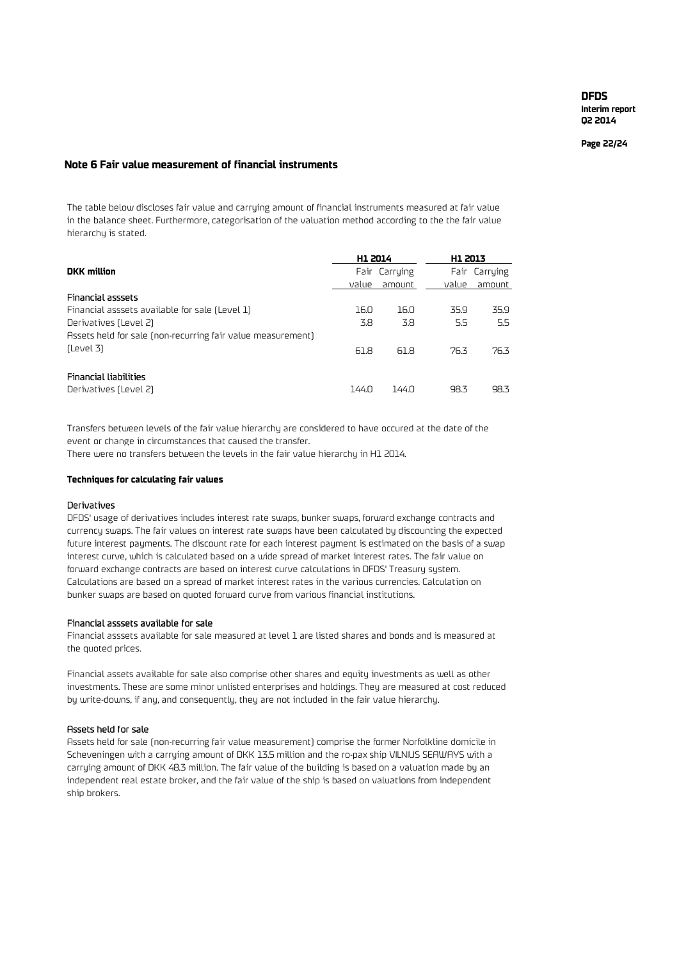**Page 22 /24**

## **Note 6 Fair value measurement of financial instruments**

The table below discloses fair value and carrying amount of financial instruments measured at fair value in the balance sheet. Furthermore, categorisation of the valuation method according to the the fair value hierarchy is stated.

|       |        |                                   | Fair Carrying   |
|-------|--------|-----------------------------------|-----------------|
| value | amount | value                             | amount          |
|       |        |                                   |                 |
| 16.0  | 16.0   | 35.9                              | 35.9            |
| 3.8   | 3.8    | 5.5                               | 5.5             |
|       |        |                                   |                 |
| 61.8  | 61.8   | 76.3                              | 76.3            |
|       |        |                                   |                 |
|       |        |                                   |                 |
|       |        |                                   | 98.3            |
|       | 144.0  | H1 2014<br>Fair Carrying<br>144.0 | H1 2013<br>98.3 |

Transfers between levels of the fair value hierarchy are considered to have occured at the date of the event or change in circumstances that caused the transfer.

There were no transfers between the levels in the fair value hierarchy in H1 2014.

#### **Techniques for calculating fair values**

#### Derivatives

DFDS' usage of derivatives includes interest rate swaps, bunker swaps, forward exchange contracts and currency swaps. The fair values on interest rate swaps have been calculated by discounting the expected future interest payments. The discount rate for each interest payment is estimated on the basis of a swap interest curve, which is calculated based on a wide spread of market interest rates. The fair value on forward exchange contracts are based on interest curve calculations in DFDS' Treasury system. Calculations are based on a spread of market interest rates in the various currencies. Calculation on bunker swaps are based on quoted forward curve from various financial institutions.

#### Financial asssets available for sale

Financial asssets available for sale measured at level 1 are listed shares and bonds and is measured at the quoted prices.

Financial assets available for sale also comprise other shares and equity investments as well as other investments. These are some minor unlisted enterprises and holdings. They are measured at cost reduced by write-downs, if any, and consequently, they are not included in the fair value hierarchy.

#### Assets held for sale

Assets held for sale (non-recurring fair value measurement) comprise the former Norfolkline domicile in Scheveningen with a carrying amount of DKK 13.5 million and the ro-pax ship VILNIUS SEAWAYS with a carrying amount of DKK 48.3 million. The fair value of the building is based on a valuation made by an independent real estate broker, and the fair value of the ship is based on valuations from independent ship brokers.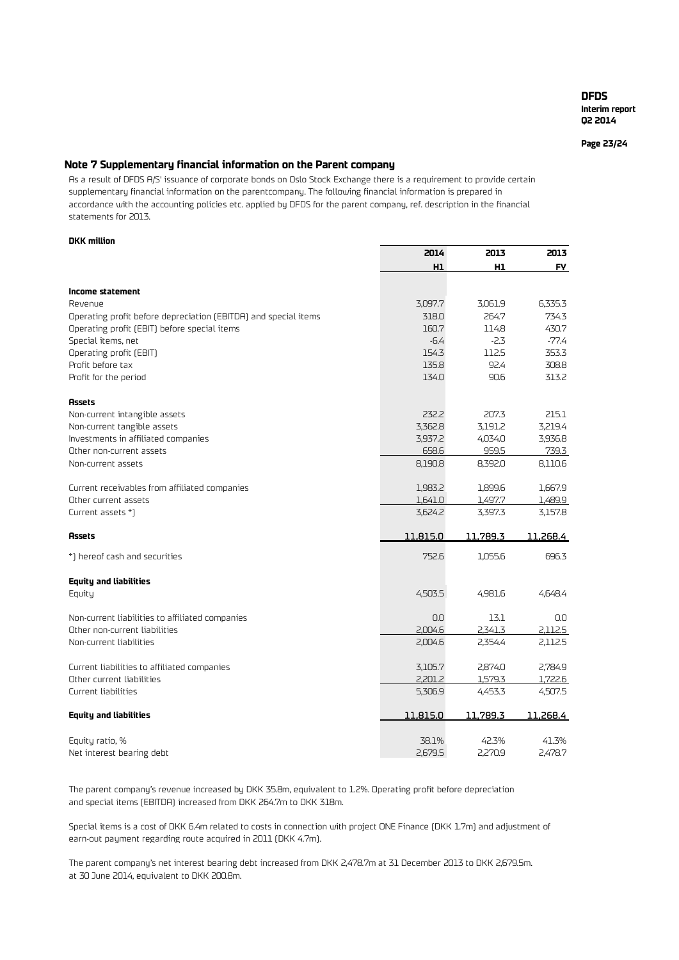**Page 23/24**

## **Note 7 Supplementary financial information on the Parent company**

As a result of DFDS A/S' issuance of corporate bonds on Oslo Stock Exchange there is a requirement to provide certain supplementary financial information on the parentcompany. The following financial information is prepared in accordance with the accounting policies etc. applied by DFDS for the parent company, ref. description in the financial statements for 2013.

#### **DKK million**

|                                                                 | 2014     | 2013           | 2013      |
|-----------------------------------------------------------------|----------|----------------|-----------|
|                                                                 | H1       | H <sub>1</sub> | <b>FY</b> |
| Income statement                                                |          |                |           |
| Revenue                                                         | 3,097.7  | 3,061.9        | 6,335.3   |
|                                                                 | 318.0    | 264.7          | 734.3     |
| Operating profit before depreciation (EBITDA) and special items |          |                |           |
| Operating profit (EBIT) before special items                    | 160.7    | 114.8          | 430.7     |
| Special items, net                                              | $-6.4$   | -2.3           | -77.4     |
| Operating profit (EBIT)                                         | 154.3    | 112.5          | 353.3     |
| Profit before tax                                               | 135.8    | 92.4           | 308.8     |
| Profit for the period                                           | 134.0    | 90.6           | 313.2     |
| <b>Assets</b>                                                   |          |                |           |
| Non-current intangible assets                                   | 232.2    | 207.3          | 215.1     |
| Non-current tangible assets                                     | 3,362.8  | 3,191.2        | 3,219.4   |
| Investments in affiliated companies                             | 3,937.2  | 4,034.0        | 3,936.8   |
| Other non-current assets                                        | 658.6    | 959.5          | 739.3     |
| Non-current assets                                              | 8,190.8  | 8,392.0        | 8,110.6   |
| Current receivables from affiliated companies                   | 1,983.2  | 1,899.6        | 1,667.9   |
| Other current assets                                            | 1,641.0  | 1,497.7        | 1,489.9   |
| Current assets *)                                               | 3,624.2  | 3,397.3        | 3,157.8   |
| <b>Assets</b>                                                   | 11,815.0 | 11,789.3       | 11,268.4  |
| *) hereof cash and securities                                   | 752.6    | 1,055.6        | 696.3     |
| <b>Equity and liabilities</b>                                   |          |                |           |
| Equity                                                          | 4,503.5  | 4,981.6        | 4,648.4   |
| Non-current liabilities to affiliated companies                 | 0.0      | 13.1           | 0.0       |
| Other non-current liabilities                                   | 2,004.6  | 2,341.3        | 2,112.5   |
| Non-current liabilities                                         | 2,004.6  | 2,354.4        | 2,112.5   |
| Current liabilities to affiliated companies                     | 3,105.7  | 2,874.0        | 2,784.9   |
| Other current liabilities                                       | 2,201.2  | 1,579.3        | 1,722.6   |
| Current liabilities                                             | 5,306.9  | 4,453.3        | 4,507.5   |
| <b>Equity and liabilities</b>                                   | 11,815.0 | 11,789.3       | 11,268.4  |
| Equity ratio, %                                                 | 38.1%    | 42.3%          | 41.3%     |
| Net interest bearing debt                                       | 2,679.5  | 2,270.9        | 2,478.7   |

The parent company's revenue increased by DKK 35.8m, equivalent to 1.2%. Operating profit before depreciation and special items (EBITDA) increased from DKK 264.7m to DKK 318m.

Special items is a cost of DKK 6.4m related to costs in connection with project ONE Finance (DKK 1.7m) and adjustment of earn-out payment regarding route acquired in 2011 (DKK 4.7m).

The parent company's net interest bearing debt increased from DKK 2,478.7m at 31 December 2013 to DKK 2,679.5m. at 30 June 2014, equivalent to DKK 200.8m.